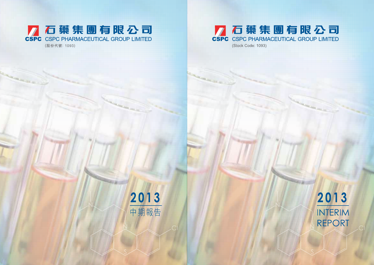# KO 蔡集團有限公司 (Stock Code: 1093)

2013 **INTERIM REPORT**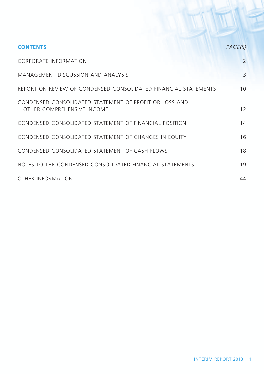| <b>CONTENTS</b>                                                                      | PAGE(S)                  |
|--------------------------------------------------------------------------------------|--------------------------|
| <b>CORPORATE INFORMATION</b>                                                         | $\overline{\phantom{0}}$ |
| MANAGEMENT DISCUSSION AND ANALYSIS                                                   | 3                        |
| REPORT ON REVIEW OF CONDENSED CONSOLIDATED FINANCIAL STATEMENTS                      | 10 <sup>2</sup>          |
| CONDENSED CONSOLIDATED STATEMENT OF PROFIT OR LOSS AND<br>OTHER COMPREHENSIVE INCOME | $12 \overline{ }$        |
| CONDENSED CONSOLIDATED STATEMENT OF FINANCIAL POSITION                               | 14                       |
| CONDENSED CONSOLIDATED STATEMENT OF CHANGES IN EQUITY                                | 16                       |
| CONDENSED CONSOLIDATED STATEMENT OF CASH FLOWS                                       | 18                       |
| NOTES TO THE CONDENSED CONSOLIDATED FINANCIAL STATEMENTS                             | 19                       |
| OTHER INFORMATION                                                                    | 44                       |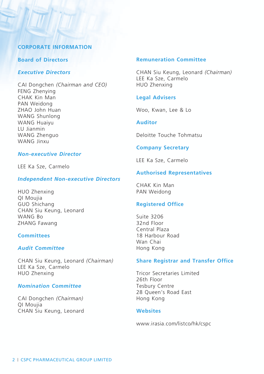### **Corporate Information**

#### **Board of Directors**

### *Executive Directors*

CAI Dongchen *(Chairman and CEO)* FENG Zhenying CHAK Kin Man PAN Weidong ZHAO John Huan WANG Shunlong WANG Huaiyu LU Jianmin WANG Zhenguo WANG Jinxu

### *Non-executive Director*

LEE Ka Sze, Carmelo

#### *Independent Non-executive Directors*

HUO Zhenxing QI Moujia GUO Shichang CHAN Siu Keung, Leonard WANG Bo ZHANG Fawang

### **Committees**

### *Audit Committee*

CHAN Siu Keung, Leonard *(Chairman)* LEE Ka Sze, Carmelo HUO Zhenxing

#### *Nomination Committee*

CAI Dongchen *(Chairman)* QI Moujia CHAN Siu Keung, Leonard

#### **Remuneration Committee**

CHAN Siu Keung, Leonard *(Chairman)* LEE Ka Sze, Carmelo HUO Zhenxing

#### **Legal Advisers**

Woo, Kwan, Lee & Lo

### **Auditor**

Deloitte Touche Tohmatsu

#### **Company Secretary**

LEE Ka Sze, Carmelo

### **Authorised Representatives**

CHAK Kin Man PAN Weidong

#### **Registered Office**

Suite 3206 32nd Floor Central Plaza 18 Harbour Road Wan Chai Hong Kong

#### **Share Registrar and Transfer Office**

Tricor Secretaries Limited 26th Floor Tesbury Centre 28 Queen's Road East Hong Kong

#### **Websites**

www.irasia.com/listco/hk/cspc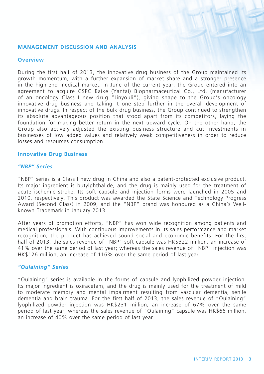#### **Management Discussion and Analysis**

#### **Overview**

During the first half of 2013, the innovative drug business of the Group maintained its growth momentum, with a further expansion of market share and a stronger presence in the high-end medical market. In June of the current year, the Group entered into an agreement to acquire CSPC Baike (Yantai) Biopharmaceutical Co., Ltd. (manufacturer of an oncology Class I new drug "Jinyouli"), giving shape to the Group's oncology innovative drug business and taking it one step further in the overall development of innovative drugs. In respect of the bulk drug business, the Group continued to strengthen its absolute advantageous position that stood apart from its competitors, laying the foundation for making better return in the next upward cycle. On the other hand, the Group also actively adjusted the existing business structure and cut investments in businesses of low added values and relatively weak competitiveness in order to reduce losses and resources consumption.

#### **Innovative Drug Business**

#### *"NBP" Series*

"NBP" series is a Class I new drug in China and also a patent-protected exclusive product. Its major ingredient is butylphthalide, and the drug is mainly used for the treatment of acute ischemic stroke. Its soft capsule and injection forms were launched in 2005 and 2010, respectively. This product was awarded the State Science and Technology Progress Award (Second Class) in 2009, and the "NBP" brand was honoured as a China's Wellknown Trademark in January 2013.

After years of promotion efforts, "NBP" has won wide recognition among patients and medical professionals. With continuous improvements in its sales performance and market recognition, the product has achieved sound social and economic benefits. For the first half of 2013, the sales revenue of "NBP" soft capsule was HK\$322 million, an increase of 41% over the same period of last year; whereas the sales revenue of "NBP" injection was HK\$126 million, an increase of 116% over the same period of last year.

#### *"Oulaining" Series*

"Oulaining" series is available in the forms of capsule and lyophilized powder injection. Its major ingredient is oxiracetam, and the drug is mainly used for the treatment of mild to moderate memory and mental impairment resulting from vascular dementia, senile dementia and brain trauma. For the first half of 2013, the sales revenue of "Oulaining" lyophilized powder injection was HK\$231 million, an increase of 67% over the same period of last year; whereas the sales revenue of "Oulaining" capsule was HK\$66 million, an increase of 40% over the same period of last year.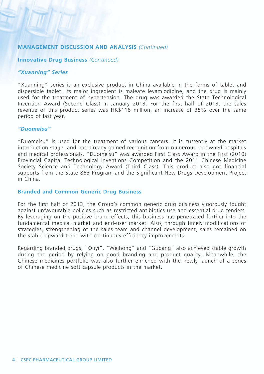#### **Innovative Drug Business** *(Continued)*

#### *"Xuanning" Series*

"Xuanning" series is an exclusive product in China available in the forms of tablet and dispersible tablet. Its major ingredient is maleate levamlodipine, and the drug is mainly used for the treatment of hypertension. The drug was awarded the State Technological Invention Award (Second Class) in January 2013. For the first half of 2013, the sales revenue of this product series was HK\$118 million, an increase of 35% over the same period of last year.

### *"Duomeisu"*

"Duomeisu" is used for the treatment of various cancers. It is currently at the market introduction stage, and has already gained recognition from numerous renowned hospitals and medical professionals. "Duomeisu" was awarded First Class Award in the First (2010) Provincial Capital Technological Inventions Competition and the 2011 Chinese Medicine Society Science and Technology Award (Third Class). This product also got financial supports from the State 863 Program and the Significant New Drugs Development Project in China.

### **Branded and Common Generic Drug Business**

For the first half of 2013, the Group's common generic drug business vigorously fought against unfavourable policies such as restricted antibiotics use and essential drug tenders. By leveraging on the positive brand effects, this business has penetrated further into the fundamental medical market and end-user market. Also, through timely modifications of strategies, strengthening of the sales team and channel development, sales remained on the stable upward trend with continuous efficiency improvements.

Regarding branded drugs, "Ouyi", "Weihong" and "Gubang" also achieved stable growth during the period by relying on good branding and product quality. Meanwhile, the Chinese medicines portfolio was also further enriched with the newly launch of a series of Chinese medicine soft capsule products in the market.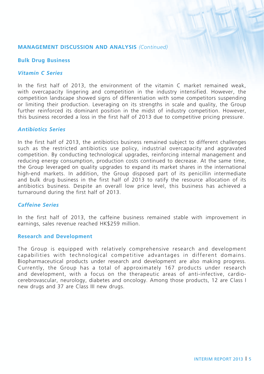### **Bulk Drug Business**

### *Vitamin C Series*

In the first half of 2013, the environment of the vitamin C market remained weak, with overcapacity lingering and competition in the industry intensified. However, the competition landscape showed signs of differentiation with some competitors suspending or limiting their production. Leveraging on its strengths in scale and quality, the Group further reinforced its dominant position in the midst of industry competition. However, this business recorded a loss in the first half of 2013 due to competitive pricing pressure.

### *Antibiotics Series*

In the first half of 2013, the antibiotics business remained subject to different challenges such as the restricted antibiotics use policy, industrial overcapacity and aggravated competition. By conducting technological upgrades, reinforcing internal management and reducing energy consumption, production costs continued to decrease. At the same time, the Group leveraged on quality upgrades to expand its market shares in the international high-end markets. In addition, the Group disposed part of its penicillin intermediate and bulk drug business in the first half of 2013 to ratify the resource allocation of its antibiotics business. Despite an overall low price level, this business has achieved a turnaround during the first half of 2013.

### *Caffeine Series*

In the first half of 2013, the caffeine business remained stable with improvement in earnings, sales revenue reached HK\$259 million.

### **Research and Development**

The Group is equipped with relatively comprehensive research and development capabilities with technological competitive advantages in different domains. Biopharmaceutical products under research and development are also making progress. Currently, the Group has a total of approximately 167 products under research and development, with a focus on the therapeutic areas of anti-infective, cardiocerebrovascular, neurology, diabetes and oncology. Among those products, 12 are Class I new drugs and 37 are Class III new drugs.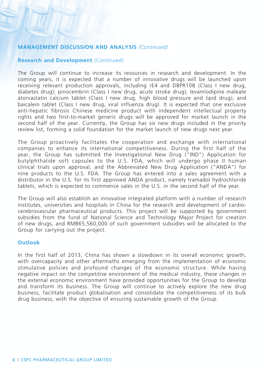### **Research and Development** *(Continued)*

The Group will continue to increase its resources in research and development. In the coming years, it is expected that a number of innovative drugs will be launched upon receiving relevant production approvals, including rE4 and DBPR108 (Class I new drug, diabetes drug); pinocembrin (Class I new drug, acute stroke drug); levamlodipine maleate atorvastatin calcium tablet (Class I new drug, high blood pressure and lipid drug); and baicalein tablet (Class I new drug, viral influenza drug). It is expected that one exclusive anti-hepatic fibrosis Chinese medicine product with independent intellectual property rights and two first-to-market generic drugs will be approved for market launch in the second half of the year. Currently, the Group has six new drugs included in the priority review list, forming a solid foundation for the market launch of new drugs next year.

The Group proactively facilitates the cooperation and exchange with international companies to enhance its international competitiveness. During the first half of the year, the Group has submitted the Investigational New Drug ("IND") Application for butylphthalide soft capsules to the U.S. FDA, which will undergo phase II human clinical trials upon approval, and the Abbreviated New Drug Application ("ANDA") for nine products to the U.S. FDA. The Group has entered into a sales agreement with a distributor in the U.S. for its first approved ANDA product, namely tramadol hydrochloride tablets, which is expected to commence sales in the U.S. in the second half of the year.

The Group will also establish an innovative integrated platform with a number of research institutes, universities and hospitals in China for the research and development of cardiocerebrovascular pharmaceutical products. This project will be supported by government subsidies from the fund of National Science and Technology Major Project for creation of new drugs, and RMB65,560,000 of such government subsidies will be allocated to the Group for carrying out the project.

### **Outlook**

In the first half of 2013, China has shown a slowdown in its overall economic growth, with overcapacity and other aftermaths emerging from the implementation of economic stimulative policies and profound changes of the economic structure. While having negative impact on the competitive environment of the medical industry, these changes in the external economic environment have provided opportunities for the Group to develop and transform its business. The Group will continue to actively explore the new drug business, facilitate product globalisation and consolidate the competitiveness of its bulk drug business, with the objective of ensuring sustainable growth of the Group.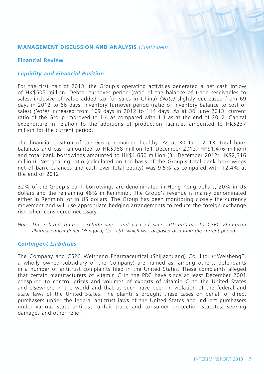### **Financial Review**

### *Liquidity and Financial Position*

For the first half of 2013, the Group's operating activities generated a net cash inflow of HK\$505 million. Debtor turnover period (ratio of the balance of trade receivables to sales, inclusive of value added tax for sales in China) *(Note)* slightly decreased from 69 days in 2012 to 66 days. Inventory turnover period (ratio of inventory balance to cost of sales) *(Note)* increased from 109 days in 2012 to 114 days. As at 30 June 2013, current ratio of the Group improved to 1.4 as compared with 1.1 as at the end of 2012. Capital expenditure in relation to the additions of production facilities amounted to HK\$237 million for the current period.

The financial position of the Group remained healthy. As at 30 June 2013, total bank balances and cash amounted to HK\$988 million (31 December 2012: HK\$1,476 million) and total bank borrowings amounted to HK\$1,650 million (31 December 2012: HK\$2,316 million). Net gearing ratio (calculated on the basis of the Group's total bank borrowings net of bank balances and cash over total equity) was 9.5% as compared with 12.4% at the end of 2012.

32% of the Group's bank borrowings are denominated in Hong Kong dollars, 20% in US dollars and the remaining 48% in Renminbi. The Group's revenue is mainly denominated either in Renminbi or in US dollars. The Group has been monitoring closely the currency movement and will use appropriate hedging arrangements to reduce the foreign exchange risk when considered necessary.

*Note: The related figures exclude sales and cost of sales attributable to CSPC Zhongrun Pharmaceutical (Inner Mongolia) Co., Ltd. which was disposed of during the current period.*

### *Contingent Liabilities*

The Company and CSPC Weisheng Pharmaceutical (Shijiazhuang) Co. Ltd. ("Weisheng", a wholly owned subsidiary of the Company) are named as, among others, defendants in a number of antitrust complaints filed in the United States. These complaints alleged that certain manufacturers of vitamin C in the PRC have since at least December 2001 conspired to control prices and volumes of exports of vitamin C to the United States and elsewhere in the world and that as such have been in violation of the federal and state laws of the United States. The plaintiffs brought these cases on behalf of direct purchasers under the federal antitrust laws of the United States and indirect purchasers under various state antirust, unfair trade and consumer protection statutes, seeking damages and other relief.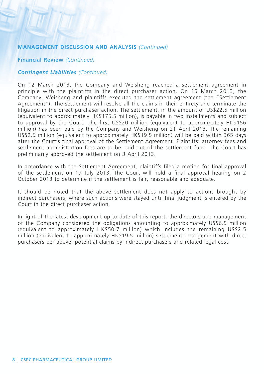#### **Financial Review** *(Continued)*

#### *Contingent Liabilities (Continued)*

On 12 March 2013, the Company and Weisheng reached a settlement agreement in principle with the plaintiffs in the direct purchaser action. On 15 March 2013, the Company, Weisheng and plaintiffs executed the settlement agreement (the "Settlement Agreement"). The settlement will resolve all the claims in their entirety and terminate the litigation in the direct purchaser action. The settlement, in the amount of US\$22.5 million (equivalent to approximately HK\$175.5 million), is payable in two installments and subject to approval by the Court. The first US\$20 million (equivalent to approximately HK\$156 million) has been paid by the Company and Weisheng on 21 April 2013. The remaining US\$2.5 million (equivalent to approximately HK\$19.5 million) will be paid within 365 days after the Court's final approval of the Settlement Agreement. Plaintiffs' attorney fees and settlement administration fees are to be paid out of the settlement fund. The Court has preliminarily approved the settlement on 3 April 2013.

In accordance with the Settlement Agreement, plaintiffs filed a motion for final approval of the settlement on 19 July 2013. The Court will hold a final approval hearing on 2 October 2013 to determine if the settlement is fair, reasonable and adequate.

It should be noted that the above settlement does not apply to actions brought by indirect purchasers, where such actions were stayed until final judgment is entered by the Court in the direct purchaser action.

In light of the latest development up to date of this report, the directors and management of the Company considered the obligations amounting to approximately US\$6.5 million (equivalent to approximately HK\$50.7 million) which includes the remaining US\$2.5 million (equivalent to approximately HK\$19.5 million) settlement arrangement with direct purchasers per above, potential claims by indirect purchasers and related legal cost.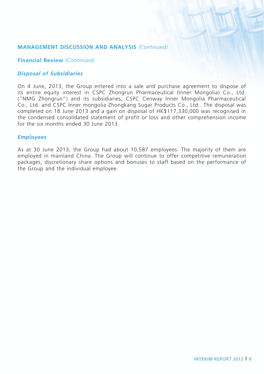#### **Financial Review** *(Continued)*

### *Disposal of Subsidiaries*

On 4 June, 2013, the Group entered into a sale and purchase agreement to dispose of its entire equity interest in CSPC Zhongrun Pharmaceutical (Inner Mongolia) Co., Ltd. ("NMG Zhongrun") and its subsidiaries, CSPC Cenway Inner Mongolia Pharmaceutical Co., Ltd. and CSPC Inner mongolia Zhongkang Sugar Products Co., Ltd.. The disposal was completed on 18 June 2013 and a gain on disposal of HK\$117,330,000 was recognised in the condensed consolidated statement of profit or loss and other comprehension income for the six months ended 30 June 2013.

#### *Employees*

As at 30 June 2013, the Group had about 10,587 employees. The majority of them are employed in mainland China. The Group will continue to offer competitive remuneration packages, discretionary share options and bonuses to staff based on the performance of the Group and the individual employee.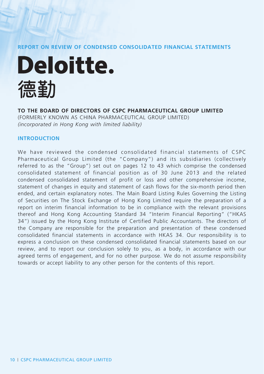**REPORT ON REVIEW OF CONDENSED CONSOLIDATED FINANCIAL STATEMENTS**



### **TO THE BOARD OF DIRECTORS OF CSPC PHARMACEUTICAL GROUP LIMITED**

(FORMERLY KNOWN AS CHINA PHARMACEUTICAL GROUP LIMITED) *(incorporated in Hong Kong with limited liability)*

### **Introduction**

We have reviewed the condensed consolidated financial statements of CSPC Pharmaceutical Group Limited (the "Company") and its subsidiaries (collectively referred to as the "Group") set out on pages 12 to 43 which comprise the condensed consolidated statement of financial position as of 30 June 2013 and the related condensed consolidated statement of profit or loss and other comprehensive income, statement of changes in equity and statement of cash flows for the six-month period then ended, and certain explanatory notes. The Main Board Listing Rules Governing the Listing of Securities on The Stock Exchange of Hong Kong Limited require the preparation of a report on interim financial information to be in compliance with the relevant provisions thereof and Hong Kong Accounting Standard 34 "Interim Financial Reporting" ("HKAS 34") issued by the Hong Kong Institute of Certified Public Accountants. The directors of the Company are responsible for the preparation and presentation of these condensed consolidated financial statements in accordance with HKAS 34. Our responsibility is to express a conclusion on these condensed consolidated financial statements based on our review, and to report our conclusion solely to you, as a body, in accordance with our agreed terms of engagement, and for no other purpose. We do not assume responsibility towards or accept liability to any other person for the contents of this report.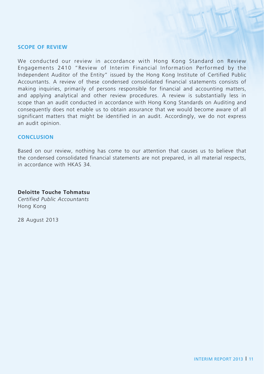### **Scope of Review**

We conducted our review in accordance with Hong Kong Standard on Review Engagements 2410 "Review of Interim Financial Information Performed by the Independent Auditor of the Entity" issued by the Hong Kong Institute of Certified Public Accountants. A review of these condensed consolidated financial statements consists of making inquiries, primarily of persons responsible for financial and accounting matters, and applying analytical and other review procedures. A review is substantially less in scope than an audit conducted in accordance with Hong Kong Standards on Auditing and consequently does not enable us to obtain assurance that we would become aware of all significant matters that might be identified in an audit. Accordingly, we do not express an audit opinion.

### **Conclusion**

Based on our review, nothing has come to our attention that causes us to believe that the condensed consolidated financial statements are not prepared, in all material respects, in accordance with HKAS 34.

### **Deloitte Touche Tohmatsu**

*Certified Public Accountants* Hong Kong

28 August 2013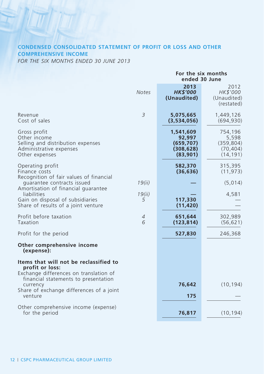### **CONDENSED CONSOLIDATED STATEMENT OF PROFIT OR LOSS AND OTHER COMPREHENSIVE INCOME**

*FOR THE SIX MONTHS ENDED 30 JUNE 2013*

|                                                                                                                |                     | For the six months<br>ended 30 June                         |                                                          |  |
|----------------------------------------------------------------------------------------------------------------|---------------------|-------------------------------------------------------------|----------------------------------------------------------|--|
|                                                                                                                | <b>Notes</b>        | 2013<br><b>HK\$'000</b><br>(Unaudited)                      | 2012<br>HK\$'000<br>(Unaudited)<br>(restated)            |  |
| Revenue<br>Cost of sales                                                                                       | 3                   | 5,075,665<br>(3,534,056)                                    | 1,449,126<br>(694, 930)                                  |  |
| Gross profit<br>Other income<br>Selling and distribution expenses<br>Administrative expenses<br>Other expenses |                     | 1,541,609<br>92,997<br>(659, 707)<br>(308, 628)<br>(83,901) | 754,196<br>5,598<br>(359, 804)<br>(70, 404)<br>(14, 191) |  |
| Operating profit<br>Finance costs                                                                              |                     | 582,370<br>(36, 636)                                        | 315,395<br>(11, 973)                                     |  |
| Recognition of fair values of financial<br>quarantee contracts issued<br>Amortisation of financial quarantee   | 19(ii)              |                                                             | (5,014)                                                  |  |
| liabilities<br>Gain on disposal of subsidiaries<br>Share of results of a joint venture                         | 19(ii)<br>5         | 117,330<br>(11, 420)                                        | 4,581                                                    |  |
| Profit before taxation<br>Taxation                                                                             | $\overline{A}$<br>6 | 651,644<br>(123, 814)                                       | 302,989<br>(56, 621)                                     |  |
| Profit for the period                                                                                          |                     | 527,830                                                     | 246,368                                                  |  |
| Other comprehensive income<br>(expense):                                                                       |                     |                                                             |                                                          |  |
| Items that will not be reclassified to<br>profit or loss:<br>Exchange differences on translation of            |                     |                                                             |                                                          |  |
| financial statements to presentation<br>currency<br>Share of exchange differences of a joint                   |                     | 76,642                                                      | (10, 194)                                                |  |
| venture                                                                                                        |                     | 175                                                         |                                                          |  |
| Other comprehensive income (expense)<br>for the period                                                         |                     | 76,817                                                      | (10, 194)                                                |  |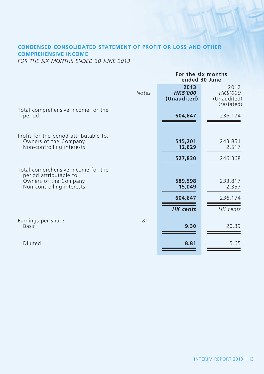### **CONDENSED CONSOLIDATED STATEMENT OF PROFIT OR LOSS AND OTHER COMPREHENSIVE INCOME**

*FOR THE SIX MONTHS ENDED 30 JUNE 2013*

|                                                                                              | For the six months<br>ended 30 June    |                                               |  |
|----------------------------------------------------------------------------------------------|----------------------------------------|-----------------------------------------------|--|
| <b>Notes</b>                                                                                 | 2013<br><b>HK\$'000</b><br>(Unaudited) | 2012<br>HK\$'000<br>(Unaudited)<br>(restated) |  |
| Total comprehensive income for the<br>period                                                 | 604,647                                | 236,174                                       |  |
| Profit for the period attributable to:<br>Owners of the Company<br>Non-controlling interests | 515,201<br>12,629                      | 243,851<br>2,517                              |  |
|                                                                                              | 527,830                                | 246,368                                       |  |
| Total comprehensive income for the<br>period attributable to:                                |                                        |                                               |  |
| Owners of the Company<br>Non-controlling interests                                           | 589,598<br>15,049                      | 233,817<br>2,357                              |  |
|                                                                                              | 604,647                                | 236,174                                       |  |
|                                                                                              | <b>HK</b> cents                        | HK cents                                      |  |
| 8<br>Earnings per share<br><b>Basic</b>                                                      | 9.30                                   | 20.39                                         |  |
| Diluted                                                                                      | 8.81                                   | 5.65                                          |  |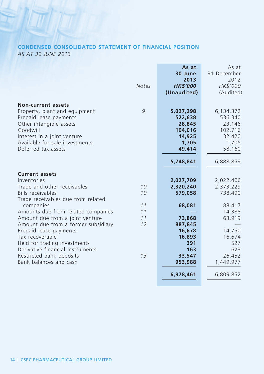## **CONDENSED CONSOLIDATED STATEMENT OF FINANCIAL POSITION**

*AS AT 30 JUNE 2013*

|                                                                                                                                                                                                                     | <b>Notes</b> | As at<br>30 June<br>2013<br><b>HK\$'000</b><br>(Unaudited)             | As at<br>31 December<br>2012<br>HK\$'000<br>(Audited)                  |
|---------------------------------------------------------------------------------------------------------------------------------------------------------------------------------------------------------------------|--------------|------------------------------------------------------------------------|------------------------------------------------------------------------|
| <b>Non-current assets</b><br>Property, plant and equipment<br>Prepaid lease payments<br>Other intangible assets<br>Goodwill<br>Interest in a joint venture<br>Available-for-sale investments<br>Deferred tax assets | 9            | 5,027,298<br>522,638<br>28,845<br>104,016<br>14,925<br>1,705<br>49,414 | 6,134,372<br>536,340<br>23,146<br>102,716<br>32,420<br>1,705<br>58,160 |
|                                                                                                                                                                                                                     |              | 5,748,841                                                              | 6,888,859                                                              |
| <b>Current assets</b><br>Inventories                                                                                                                                                                                |              |                                                                        |                                                                        |
| Trade and other receivables                                                                                                                                                                                         | 10           | 2,027,709<br>2,320,240                                                 | 2,022,406<br>2,373,229                                                 |
| Bills receivables                                                                                                                                                                                                   | 10           | 579,058                                                                | 738,490                                                                |
| Trade receivables due from related                                                                                                                                                                                  |              |                                                                        |                                                                        |
| companies                                                                                                                                                                                                           | 11           | 68,081                                                                 | 88,417                                                                 |
| Amounts due from related companies<br>Amount due from a joint venture                                                                                                                                               | 11<br>11     | 73,868                                                                 | 14,388<br>63,919                                                       |
| Amount due from a former subsidiary                                                                                                                                                                                 | 12           | 887,845                                                                |                                                                        |
| Prepaid lease payments                                                                                                                                                                                              |              | 16,678                                                                 | 14,750                                                                 |
| Tax recoverable                                                                                                                                                                                                     |              | 16,893                                                                 | 16,674                                                                 |
| Held for trading investments                                                                                                                                                                                        |              | 391                                                                    | 527                                                                    |
| Derivative financial instruments<br>Restricted bank deposits                                                                                                                                                        | 13           | 163<br>33,547                                                          | 623<br>26,452                                                          |
| Bank balances and cash                                                                                                                                                                                              |              | 953,988                                                                | 1,449,977                                                              |
|                                                                                                                                                                                                                     |              |                                                                        |                                                                        |
|                                                                                                                                                                                                                     |              | 6,978,461                                                              | 6,809,852                                                              |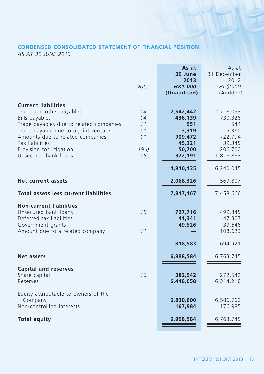### **CONDENSED CONSOLIDATED STATEMENT OF FINANCIAL POSITION**

*AS AT 30 JUNE 2013*

| <b>Current liabilities</b><br>Trade and other payables<br>14<br>2,718,093<br>2,542,442<br>Bills payables<br>14<br>436,139<br>730,326<br>Trade payables due to related companies<br>11<br>551<br>544<br>Trade payable due to a joint venture<br>11<br>5,360<br>3,319<br>722,794<br>Amounts due to related companies<br>11<br>909,472<br>Tax liabilities<br>39,345<br>45,321<br>Provision for litigation<br>19(i)<br>50,700<br>206,700<br>Unsecured bank loans<br>15<br>922,191<br>1,816,883<br>4,910,135<br>6,240,045<br>Net current assets<br>2,068,326<br>569,807<br><b>Total assets less current liabilities</b><br>7,817,167<br>7,458,666<br><b>Non-current liabilities</b><br>Unsecured bank loans<br>15<br>727,716<br>499,345<br>Deferred tax liabilities<br>47,307<br>41,341<br>49,526<br>Government grants<br>39,646<br>Amount due to a related company<br>11<br>108,623<br>818,583<br>694,921<br>Net assets<br>6,998,584<br>6,763,745<br><b>Capital and reserves</b><br>Share capital<br>16<br>382,542<br>272,542<br>6,314,218<br>Reserves<br>6,448,058<br>Equity attributable to owners of the<br>Company<br>6,830,600<br>6,586,760<br>Non-controlling interests<br>167,984<br>176,985<br><b>Total equity</b><br>6,998,584<br>6,763,745 | <b>Notes</b> | As at<br>30 June<br>2013<br><b>HK\$'000</b><br>(Unaudited) | As at<br>31 December<br>2012<br>HK\$'000<br>(Audited) |
|--------------------------------------------------------------------------------------------------------------------------------------------------------------------------------------------------------------------------------------------------------------------------------------------------------------------------------------------------------------------------------------------------------------------------------------------------------------------------------------------------------------------------------------------------------------------------------------------------------------------------------------------------------------------------------------------------------------------------------------------------------------------------------------------------------------------------------------------------------------------------------------------------------------------------------------------------------------------------------------------------------------------------------------------------------------------------------------------------------------------------------------------------------------------------------------------------------------------------------------------------|--------------|------------------------------------------------------------|-------------------------------------------------------|
|                                                                                                                                                                                                                                                                                                                                                                                                                                                                                                                                                                                                                                                                                                                                                                                                                                                                                                                                                                                                                                                                                                                                                                                                                                                  |              |                                                            |                                                       |
|                                                                                                                                                                                                                                                                                                                                                                                                                                                                                                                                                                                                                                                                                                                                                                                                                                                                                                                                                                                                                                                                                                                                                                                                                                                  |              |                                                            |                                                       |
|                                                                                                                                                                                                                                                                                                                                                                                                                                                                                                                                                                                                                                                                                                                                                                                                                                                                                                                                                                                                                                                                                                                                                                                                                                                  |              |                                                            |                                                       |
|                                                                                                                                                                                                                                                                                                                                                                                                                                                                                                                                                                                                                                                                                                                                                                                                                                                                                                                                                                                                                                                                                                                                                                                                                                                  |              |                                                            |                                                       |
|                                                                                                                                                                                                                                                                                                                                                                                                                                                                                                                                                                                                                                                                                                                                                                                                                                                                                                                                                                                                                                                                                                                                                                                                                                                  |              |                                                            |                                                       |
|                                                                                                                                                                                                                                                                                                                                                                                                                                                                                                                                                                                                                                                                                                                                                                                                                                                                                                                                                                                                                                                                                                                                                                                                                                                  |              |                                                            |                                                       |
|                                                                                                                                                                                                                                                                                                                                                                                                                                                                                                                                                                                                                                                                                                                                                                                                                                                                                                                                                                                                                                                                                                                                                                                                                                                  |              |                                                            |                                                       |
|                                                                                                                                                                                                                                                                                                                                                                                                                                                                                                                                                                                                                                                                                                                                                                                                                                                                                                                                                                                                                                                                                                                                                                                                                                                  |              |                                                            |                                                       |
|                                                                                                                                                                                                                                                                                                                                                                                                                                                                                                                                                                                                                                                                                                                                                                                                                                                                                                                                                                                                                                                                                                                                                                                                                                                  |              |                                                            |                                                       |
|                                                                                                                                                                                                                                                                                                                                                                                                                                                                                                                                                                                                                                                                                                                                                                                                                                                                                                                                                                                                                                                                                                                                                                                                                                                  |              |                                                            |                                                       |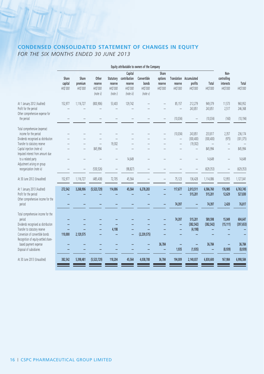### **CONDENSED CONSOLIDATED STATEMENT OF CHANGES IN EQUITY** *FOR THE SIX MONTHS ENDED 30 JUNE 2013*

|                                                                                                                                 |                              |                              |                                           |                                              |                                                              | Equity attributable to owners of the Company |                                         |                                              |                                                |                       |                                              |                       |
|---------------------------------------------------------------------------------------------------------------------------------|------------------------------|------------------------------|-------------------------------------------|----------------------------------------------|--------------------------------------------------------------|----------------------------------------------|-----------------------------------------|----------------------------------------------|------------------------------------------------|-----------------------|----------------------------------------------|-----------------------|
|                                                                                                                                 | Share<br>capital<br>HK\$'000 | Share<br>premium<br>HK\$'000 | Other<br>reserve<br>HK\$'000<br>(note ii) | Statutory<br>reserve<br>HK\$'000<br>(note i) | Capital<br>contribution<br>reserve<br>HK\$'000<br>(note iii) | Convertible<br>bonds<br>HK\$'000<br>(note v) | Share<br>options<br>reserve<br>HK\$'000 | reserve<br>HK\$'000                          | Translation Accumulated<br>profits<br>HK\$'000 | Total<br>HK\$'000     | Non-<br>controlling<br>interests<br>HK\$'000 | Total<br>HK\$'000     |
| At 1 January 2012 (Audited)<br>Profit for the period<br>Other comprehensive expense for                                         | 152.977                      | 1,116,727                    | (800, 906)                                | 53,403                                       | 129,742                                                      |                                              |                                         | 85,157                                       | 212,279<br>243,851                             | 949,379<br>243,851    | 11,573<br>2,517                              | 960,952<br>246,368    |
| the period                                                                                                                      |                              |                              |                                           |                                              |                                                              |                                              |                                         | (10, 034)                                    | $\qquad \qquad -$                              | (10, 034)             | (160)                                        | (10, 194)             |
| Total comprehensive (expense)<br>income for the period<br>Dividends recognised as distribution<br>Transfer to statutory reserve |                              |                              | $-$                                       | 19,302                                       |                                                              |                                              |                                         | (10, 034)<br>$\overline{\phantom{0}}$<br>$-$ | 243,851<br>(300, 400)<br>(19, 302)             | 233,817<br>(300, 400) | 2,357<br>(975)<br>$-$                        | 236,174<br>(301, 375) |
| Capital injection (note vi)                                                                                                     |                              |                              | 845,994                                   | $-$                                          |                                                              |                                              |                                         |                                              | $\qquad \qquad -$                              | 845,994               | $\overline{\phantom{m}}$                     | 845,994               |
| Imputed interest from amount due<br>to a related party<br>Adjustment arising on group                                           |                              |                              |                                           | -                                            | 14,649                                                       |                                              |                                         |                                              | $\overline{\phantom{0}}$                       | 14,649                |                                              | 14,649                |
| reorganization (note iv)                                                                                                        |                              |                              | (530, 526)                                | $\overline{\phantom{0}}$                     | (98, 827)                                                    |                                              |                                         |                                              | $\overline{\phantom{0}}$                       | (629, 353)            | $\overline{\phantom{a}}$                     | (629, 353)            |
| At 30 June 2012 (Unaudited)                                                                                                     | 152,977                      | 1,116,727                    | (485, 438)                                | 72,705                                       | 45,564                                                       |                                              |                                         | 75,123                                       | 136,428                                        | 1,114,086             | 12,955                                       | 1,127,041             |
| At 1 January 2013 (Audited)<br>Profit for the period<br>Other comprehensive income for the                                      | 272,542                      | 3,268,906                    | (5, 523, 729)                             | 114,006                                      | 45,564                                                       | 6,278,283                                    |                                         | 117,677                                      | 2,013,511<br>515,201                           | 6,586,760<br>515,201  | 176,985<br>12,629                            | 6,763,745<br>527,830  |
| period                                                                                                                          |                              |                              |                                           |                                              |                                                              |                                              |                                         | 74,397                                       |                                                | 74,397                | 2,420                                        | 76,817                |
| Total comprehensive income for the<br>period<br>Dividends recognised as distribution                                            |                              |                              |                                           |                                              |                                                              |                                              |                                         | 74,397<br>-                                  | 515,201<br>(382, 542)                          | 589,598<br>(382, 542) | 15,049<br>(15, 111)                          | 604,647<br>(397, 653) |
| Transfer to statutory reserve<br>Conversion of convertible bonds<br>Recognition of equity-settled share-                        | 110,000                      | 2,129,575                    |                                           | 4,198                                        |                                                              | (2, 239, 575)                                |                                         |                                              | (4, 198)                                       |                       |                                              |                       |
| based payment expense<br>Disposal of subsidiaries                                                                               |                              |                              |                                           |                                              |                                                              |                                              | 36,784                                  | -<br>1,935                                   | -<br>(1, 935)                                  | 36,784<br>-           | (8,939)                                      | 36,784<br>(8,939)     |
| At 30 June 2013 (Unaudited)                                                                                                     | 382,542                      | 5,398,481                    | (5,523,729)                               | 118,204                                      | 45,564                                                       | 4,038,708                                    | 36,784                                  | 194,009                                      | 2,140,037                                      | 6,830,600             | 167,984                                      | 6,998,584             |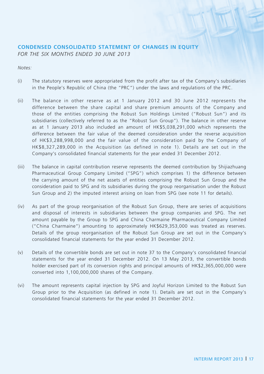#### **CONDENSED CONSOLIDATED STATEMENT OF CHANGES IN EQUITY** *FOR THE SIX MONTHS ENDED 30 JUNE 2013*

*Notes:*

- (i) The statutory reserves were appropriated from the profit after tax of the Company's subsidiaries in the People's Republic of China (the "PRC") under the laws and regulations of the PRC.
- (ii) The balance in other reserve as at 1 January 2012 and 30 June 2012 represents the difference between the share capital and share premium amounts of the Company and those of the entities comprising the Robust Sun Holdings Limited ("Robust Sun") and its subsidiaries (collectively referred to as the "Robust Sun Group"). The balance in other reserve as at 1 January 2013 also included an amount of HK\$5,038,291,000 which represents the difference between the fair value of the deemed consideration under the reverse acquisition of HK\$3,288,998,000 and the fair value of the consideration paid by the Company of HK\$8,327,289,000 in the Acquisition (as defined in note 1). Details are set out in the Company's consolidated financial statements for the year ended 31 December 2012.
- (iii) The balance in capital contribution reserve represents the deemed contribution by Shijiazhuang Pharmaceutical Group Company Limited ("SPG") which comprises 1) the difference between the carrying amount of the net assets of entities comprising the Robust Sun Group and the consideration paid to SPG and its subsidiaries during the group reorganisation under the Robust Sun Group and 2) the imputed interest arising on loan from SPG (see note 11 for details).
- (iv) As part of the group reorganisation of the Robust Sun Group, there are series of acquisitions and disposal of interests in subsidiaries between the group companies and SPG. The net amount payable by the Group to SPG and China Charmaine Pharmaceutical Company Limited ("China Charmaine") amounting to approximately HK\$629,353,000 was treated as reserves. Details of the group reorganisation of the Robust Sun Group are set out in the Company's consolidated financial statements for the year ended 31 December 2012.
- (v) Details of the convertible bonds are set out in note 37 to the Company's consolidated financial statements for the year ended 31 December 2012. On 13 May 2013, the convertible bonds holder exercised part of its conversion rights and principal amounts of HK\$2,365,000,000 were converted into 1,100,000,000 shares of the Company.
- (vi) The amount represents capital injection by SPG and Joyful Horizon Limited to the Robust Sun Group prior to the Acquisition (as defined in note 1). Details are set out in the Company's consolidated financial statements for the year ended 31 December 2012.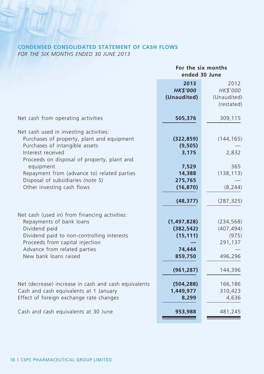### **CONDENSED CONSOLIDATED STATEMENT OF CASH FLOWS**

*FOR THE SIX MONTHS ENDED 30 JUNE 2013*

|                                                                                                                                                                                                                                      | For the six months<br>ended 30 June                                                    |                                                                                  |  |
|--------------------------------------------------------------------------------------------------------------------------------------------------------------------------------------------------------------------------------------|----------------------------------------------------------------------------------------|----------------------------------------------------------------------------------|--|
|                                                                                                                                                                                                                                      | 2013<br><b>HK\$'000</b><br>(Unaudited)                                                 | 2012<br>HK\$'000<br>(Unaudited)<br>(restated)                                    |  |
| Net cash from operating activities                                                                                                                                                                                                   | 505,376                                                                                | 309,115                                                                          |  |
| Net cash used in investing activities:<br>Purchases of property, plant and equipment<br>Purchases of intangible assets<br>Interest received<br>Proceeds on disposal of property, plant and<br>equipment                              | (322, 859)<br>(9, 505)<br>3,175<br>7,529                                               | (144, 165)<br>2,832<br>365                                                       |  |
| Repayment from (advance to) related parties<br>Disposal of subsidiaries (note 5)<br>Other investing cash flows                                                                                                                       | 14,388<br>275,765<br>(16, 870)                                                         | (138, 113)<br>(8, 244)                                                           |  |
| Net cash (used in) from financing activities:<br>Repayments of bank loans<br>Dividend paid<br>Dividend paid to non-controlling interests<br>Proceeds from capital injection<br>Advance from related parties<br>New bank loans raised | (48, 377)<br>(1,497,828)<br>(382, 542)<br>(15, 111)<br>74,444<br>859,750<br>(961, 287) | (287, 325)<br>(234, 568)<br>(407, 494)<br>(975)<br>291,137<br>496,296<br>144,396 |  |
| Net (decrease) increase in cash and cash equivalents<br>Cash and cash equivalents at 1 January<br>Effect of foreign exchange rate changes                                                                                            | (504, 288)<br>1,449,977<br>8,299                                                       | 166,186<br>310,423<br>4,636                                                      |  |
| Cash and cash equivalents at 30 June                                                                                                                                                                                                 | 953,988                                                                                | 481,245                                                                          |  |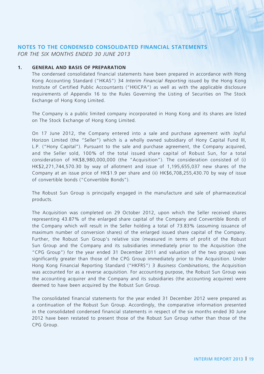#### **NOTES TO THE CONDENSED CONSOLIDATED FINANCIAL STATEMENTS**

*FOR THE SIX MONTHS ENDED 30 JUNE 2013*

#### **1. General and Basis Of Preparation**

The condensed consolidated financial statements have been prepared in accordance with Hong Kong Accounting Standard ("HKAS") 34 *Interim Financial Reporting* issued by the Hong Kong Institute of Certified Public Accountants ("HKICPA") as well as with the applicable disclosure requirements of Appendix 16 to the Rules Governing the Listing of Securities on The Stock Exchange of Hong Kong Limited.

The Company is a public limited company incorporated in Hong Kong and its shares are listed on The Stock Exchange of Hong Kong Limited.

On 17 June 2012, the Company entered into a sale and purchase agreement with Joyful Horizon Limited (the "Seller") which is a wholly owned subsidiary of Hony Capital Fund III, L.P. ("Hony Capital"). Pursuant to the sale and purchase agreement, the Company acquired, and the Seller sold, 100% of the total issued share capital of Robust Sun, for a total consideration of HK\$8,980,000,000 (the "Acquisition"). The consideration consisted of (i) HK\$2,271,744,570.30 by way of allotment and issue of 1,195,655,037 new shares of the Company at an issue price of HK\$1.9 per share and (ii) HK\$6,708,255,430.70 by way of issue of convertible bonds ("Convertible Bonds").

The Robust Sun Group is principally engaged in the manufacture and sale of pharmaceutical products.

The Acquisition was completed on 29 October 2012, upon which the Seller received shares representing 43.87% of the enlarged share capital of the Company and Convertible Bonds of the Company which will result in the Seller holding a total of 73.83% (assuming issuance of maximum number of conversion shares) of the enlarged issued share capital of the Company. Further, the Robust Sun Group's relative size (measured in terms of profit of the Robust Sun Group and the Company and its subsidiaries immediately prior to the Acquisition (the "CPG Group") for the year ended 31 December 2011 and valuation of the two groups) was significantly greater than those of the CPG Group immediately prior to the Acquisition. Under Hong Kong Financial Reporting Standard ("HKFRS") 3 *Business Combinations*, the Acquisition was accounted for as a reverse acquisition. For accounting purpose, the Robust Sun Group was the accounting acquirer and the Company and its subsidiaries (the accounting acquiree) were deemed to have been acquired by the Robust Sun Group.

The consolidated financial statements for the year ended 31 December 2012 were prepared as a continuation of the Robust Sun Group. Accordingly, the comparative information presented in the consolidated condensed financial statements in respect of the six months ended 30 June 2012 have been restated to present those of the Robust Sun Group rather than those of the CPG Group.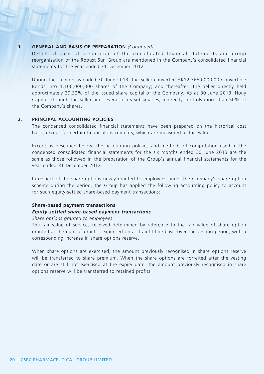#### **1. General and Basis Of Preparation** *(Continued)*

Details of basis of preparation of the consolidated financial statements and group reorganisation of the Robust Sun Group are mentioned in the Company's consolidated financial statements for the year ended 31 December 2012.

During the six months ended 30 June 2013, the Seller converted HK\$2,365,000,000 Convertible Bonds into 1,100,000,000 shares of the Company; and thereafter, the Seller directly held approximately 39.32% of the issued share capital of the Company. As at 30 June 2013, Hony Capital, through the Seller and several of its subsidiaries, indirectly controls more than 50% of the Company's shares.

#### **2. PRINCIPAL ACCOUNTING POLICIES**

The condensed consolidated financial statements have been prepared on the historical cost basis, except for certain financial instruments, which are measured at fair values.

Except as described below, the accounting policies and methods of computation used in the condensed consolidated financial statements for the six months ended 30 June 2013 are the same as those followed in the preparation of the Group's annual financial statements for the year ended 31 December 2012.

In respect of the share options newly granted to employees under the Company's share option scheme during the period, the Group has applied the following accounting policy to account for such equity-settled share-based payment transactions:

#### **Share-based payment transactions**

#### *Equity-settled share-based payment transactions*

#### *Share options granted to employees*

The fair value of services received determined by reference to the fair value of share option granted at the date of grant is expensed on a straight-line basis over the vesting period, with a corresponding increase in share options reserve.

When share options are exercised, the amount previously recognised in share options reserve will be transferred to share premium. When the share options are forfeited after the vesting date or are still not exercised at the expiry date, the amount previously recognised in share options reserve will be transferred to retained profits.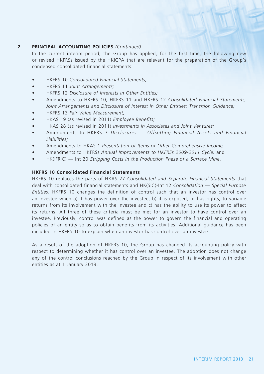#### **2. PRINCIPAL ACCOUNTING POLICIES** *(Continued)*

In the current interim period, the Group has applied, for the first time, the following new or revised HKFRSs issued by the HKICPA that are relevant for the preparation of the Group's condensed consolidated financial statements:

- **HKFRS 10 Consolidated Financial Statements;**
- • HKFRS 11 *Joint Arrangements;*
- • HKFRS 12 *Disclosure of Interests in Other Entities;*
- • Amendments to HKFRS 10, HKFRS 11 and HKFRS 12 *Consolidated Financial Statements, Joint Arrangements and Disclosure of Interest in Other Entities: Transition Guidance;*
- **HKFRS 13 Fair Value Measurement:**
- HKAS 19 (as revised in 2011) *Employee Benefits;*
- • HKAS 28 (as revised in 2011) *Investments in Associates and Joint Ventures;*
- • Amendments to HKFRS 7 *Disclosures Offsetting Financial Assets and Financial Liabilities;*
- Amendments to HKAS 1 *Presentation of Items of Other Comprehensive Income;*
- Amendments to HKFRSs Annual Improvements to HKFRSs 2009-2011 Cycle; and
- HK(IFRIC) Int 20 *Stripping Costs in the Production Phase of a Surface Mine*.

#### **HKFRS 10 Consolidated Financial Statements**

HKFRS 10 replaces the parts of HKAS 27 *Consolidated and Separate Financial Statements* that deal with consolidated financial statements and HK(SIC)-Int 12 *Consolidation — Special Purpose Entities*. HKFRS 10 changes the definition of control such that an investor has control over an investee when a) it has power over the investee, b) it is exposed, or has rights, to variable returns from its involvement with the investee and c) has the ability to use its power to affect its returns. All three of these criteria must be met for an investor to have control over an investee. Previously, control was defined as the power to govern the financial and operating policies of an entity so as to obtain benefits from its activities. Additional guidance has been included in HKFRS 10 to explain when an investor has control over an investee.

As a result of the adoption of HKFRS 10, the Group has changed its accounting policy with respect to determining whether it has control over an investee. The adoption does not change any of the control conclusions reached by the Group in respect of its involvement with other entities as at 1 January 2013.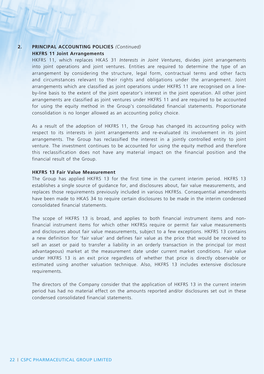#### **2. PRINCIPAL ACCOUNTING POLICIES** *(Continued)* **HKFRS 11 Joint Arrangements**

HKFRS 11, which replaces HKAS 31 *Interests in Joint Ventures*, divides joint arrangements into joint operations and joint ventures. Entities are required to determine the type of an arrangement by considering the structure, legal form, contractual terms and other facts and circumstances relevant to their rights and obligations under the arrangement. Joint arrangements which are classified as joint operations under HKFRS 11 are recognised on a lineby-line basis to the extent of the joint operator's interest in the joint operation. All other joint arrangements are classified as joint ventures under HKFRS 11 and are required to be accounted for using the equity method in the Group's consolidated financial statements. Proportionate consolidation is no longer allowed as an accounting policy choice.

As a result of the adoption of HKFRS 11, the Group has changed its accounting policy with respect to its interests in joint arrangements and re-evaluated its involvement in its joint arrangements. The Group has reclassified the interest in a jointly controlled entity to joint venture. The investment continues to be accounted for using the equity method and therefore this reclassification does not have any material impact on the financial position and the financial result of the Group.

#### **HKFRS 13 Fair Value Measurement**

The Group has applied HKFRS 13 for the first time in the current interim period. HKFRS 13 establishes a single source of guidance for, and disclosures about, fair value measurements, and replaces those requirements previously included in various HKFRSs. Consequential amendments have been made to HKAS 34 to require certain disclosures to be made in the interim condensed consolidated financial statements.

The scope of HKFRS 13 is broad, and applies to both financial instrument items and nonfinancial instrument items for which other HKFRSs require or permit fair value measurements and disclosures about fair value measurements, subject to a few exceptions. HKFRS 13 contains a new definition for 'fair value' and defines fair value as the price that would be received to sell an asset or paid to transfer a liability in an orderly transaction in the principal (or most advantageous) market at the measurement date under current market conditions. Fair value under HKFRS 13 is an exit price regardless of whether that price is directly observable or estimated using another valuation technique. Also, HKFRS 13 includes extensive disclosure requirements.

The directors of the Company consider that the application of HKFRS 13 in the current interim period has had no material effect on the amounts reported and/or disclosures set out in these condensed consolidated financial statements.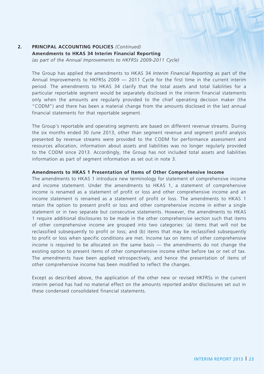#### **2. PRINCIPAL ACCOUNTING POLICIES** *(Continued)*

**Amendments to HKAS 34 Interim Financial Reporting** *(as part of the Annual Improvements to HKFRSs 2009-2011 Cycle)*

The Group has applied the amendments to HKAS 34 *Interim Financial Reporting* as part of the Annual Improvements to HKFRSs 2009 — 2011 Cycle for the first time in the current interim period. The amendments to HKAS 34 clarify that the total assets and total liabilities for a particular reportable segment would be separately disclosed in the interim financial statements only when the amounts are regularly provided to the chief operating decision maker (the "CODM") and there has been a material change from the amounts disclosed in the last annual financial statements for that reportable segment.

The Group's reportable and operating segments are based on different revenue streams. During the six months ended 30 June 2013, other than segment revenue and segment profit analysis presented by revenue streams were provided to the CODM for performance assessment and resources allocation, information about assets and liabilities was no longer regularly provided to the CODM since 2013. Accordingly, the Group has not included total assets and liabilities information as part of segment information as set out in note 3.

#### **Amendments to HKAS 1 Presentation of Items of Other Comprehensive Income**

The amendments to HKAS 1 introduce new terminology for statement of comprehensive income and income statement. Under the amendments to HKAS 1, a statement of comprehensive income is renamed as a statement of profit or loss and other comprehensive income and an income statement is renamed as a statement of profit or loss. The amendments to HKAS 1 retain the option to present profit or loss and other comprehensive income in either a single statement or in two separate but consecutive statements. However, the amendments to HKAS 1 require additional disclosures to be made in the other comprehensive section such that items of other comprehensive income are grouped into two categories: (a) items that will not be reclassified subsequently to profit or loss; and (b) items that may be reclassified subsequently to profit or loss when specific conditions are met. Income tax on items of other comprehensive income is required to be allocated on the same basis — the amendments do not change the existing option to present items of other comprehensive income either before tax or net of tax. The amendments have been applied retrospectively, and hence the presentation of items of other comprehensive income has been modified to reflect the changes.

Except as described above, the application of the other new or revised HKFRSs in the current interim period has had no material effect on the amounts reported and/or disclosures set out in these condensed consolidated financial statements.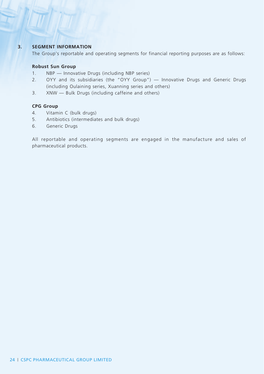### **3. SEGMENT INFORMATION**

The Group's reportable and operating segments for financial reporting purposes are as follows:

#### **Robust Sun Group**

- 1. NBP Innovative Drugs (including NBP series)
- 2. OYY and its subsidiaries (the "OYY Group") Innovative Drugs and Generic Drugs (including Oulaining series, Xuanning series and others)
- 3. XNW Bulk Drugs (including caffeine and others)

#### **CPG Group**

- 4. Vitamin C (bulk drugs)
- 5. Antibiotics (intermediates and bulk drugs)
- 6. Generic Drugs

All reportable and operating segments are engaged in the manufacture and sales of pharmaceutical products.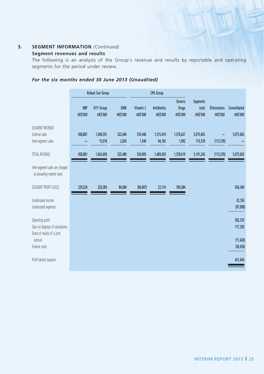### **3. SEGMENT INFORMATION** *(Continued)*

### **Segment revenues and results**

The following is an analysis of the Group's revenue and results by reportable and operating segments for the period under review.

### *For the six months ended 30 June 2013 (Unaudited)*

|                                                                                     |                               | Robust Sun Group                   |                       |                             | <b>CPG Group</b>                      |                                           |                                      |                                        |                                 |
|-------------------------------------------------------------------------------------|-------------------------------|------------------------------------|-----------------------|-----------------------------|---------------------------------------|-------------------------------------------|--------------------------------------|----------------------------------------|---------------------------------|
|                                                                                     | <b>NBP</b><br><b>HK\$'000</b> | <b>OYY Group</b><br><b>HKS'000</b> | XNW<br><b>HKS'000</b> | Vitamin C<br><b>HKS'000</b> | <b>Antibiotics</b><br><b>HK\$'000</b> | Generic<br><b>Drugs</b><br><b>HKS'000</b> | Segments<br>total<br><b>HK\$'000</b> | <b>Eliminations</b><br><b>HK\$'000</b> | Consolidated<br><b>HK\$'000</b> |
| SEGMENT REVENUE<br>External sales<br>Inter-segment sales                            | 458,881                       | 1,048,591<br>15,018                | 322,646<br>2,834      | 553,446<br>1,549            | 1,315,474<br>94,185                   | 1,376,627<br>1,992                        | 5,075,665<br>115,578                 | (115, 578)                             | 5,075,665                       |
| <b>TOTAL REVENUE</b>                                                                | 458,881                       | 1,063,609                          | 325,480               | 554,995                     | 1,409,659                             | 1,378,619                                 | 5,191,243                            | (115, 578)                             | 5,075,665                       |
| Inter-segment sales are charged<br>at prevailing market rates.                      |                               |                                    |                       |                             |                                       |                                           |                                      |                                        |                                 |
| SEGMENT PROFIT (LOSS)                                                               | 229,224                       | 220,389                            | 86,084                | (86, 847)                   | 23,110                                | 184,384                                   |                                      |                                        | 656,344                         |
| Unallocated income<br>Unallocated expenses                                          |                               |                                    |                       |                             |                                       |                                           |                                      |                                        | 23,124<br>(97,098)              |
| Operating profit<br>Gain on disposal of subsidiaries<br>Share of results of a joint |                               |                                    |                       |                             |                                       |                                           |                                      |                                        | 582,370<br>117,330              |
| venture<br>Finance costs                                                            |                               |                                    |                       |                             |                                       |                                           |                                      |                                        | (11, 420)<br>(36, 636)          |
| Profit before taxation                                                              |                               |                                    |                       |                             |                                       |                                           |                                      |                                        | 651,644                         |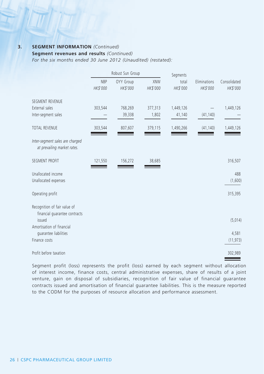#### **3. SEGMENT INFORMATION** *(Continued)*

### **Segment revenues and results** *(Continued)*

*For the six months ended 30 June 2012 (Unaudited) (restated):*

|                                                                | Robust Sun Group       |                       |                        | Segments          |                          |                          |
|----------------------------------------------------------------|------------------------|-----------------------|------------------------|-------------------|--------------------------|--------------------------|
|                                                                | <b>NBP</b><br>HK\$'000 | OYY Group<br>HK\$'000 | <b>XNW</b><br>HK\$'000 | total<br>HK\$'000 | Eliminations<br>HK\$'000 | Consolidated<br>HK\$'000 |
| <b>SEGMENT REVENUE</b>                                         |                        |                       |                        |                   |                          |                          |
| External sales                                                 | 303,544                | 768,269               | 377,313                | 1,449,126         |                          | 1,449,126                |
| Inter-segment sales                                            |                        | 39,338                | 1,802                  | 41,140            | (41, 140)                |                          |
| <b>TOTAL REVENUE</b>                                           | 303,544                | 807,607               | 379,115                | 1,490,266         | (41, 140)                | 1,449,126                |
| Inter-segment sales are charged<br>at prevailing market rates. |                        |                       |                        |                   |                          |                          |
| SEGMENT PROFIT                                                 | 121,550                | 156,272               | 38,685                 |                   |                          | 316,507                  |
| Unallocated income                                             |                        |                       |                        |                   |                          | 488                      |
| Unallocated expenses                                           |                        |                       |                        |                   |                          | (1,600)                  |
| Operating profit                                               |                        |                       |                        |                   |                          | 315,395                  |
| Recognition of fair value of                                   |                        |                       |                        |                   |                          |                          |
| financial guarantee contracts<br>issued                        |                        |                       |                        |                   |                          | (5,014)                  |
| Amortisation of financial                                      |                        |                       |                        |                   |                          |                          |
| quarantee liabilities                                          |                        |                       |                        |                   |                          | 4,581                    |
| Finance costs                                                  |                        |                       |                        |                   |                          | (11, 973)                |
| Profit before taxation                                         |                        |                       |                        |                   |                          | 302,989                  |

Segment profit (loss) represents the profit (loss) earned by each segment without allocation of interest income, finance costs, central administrative expenses, share of results of a joint venture, gain on disposal of subsidiaries, recognition of fair value of financial guarantee contracts issued and amortisation of financial guarantee liabilities. This is the measure reported to the CODM for the purposes of resource allocation and performance assessment.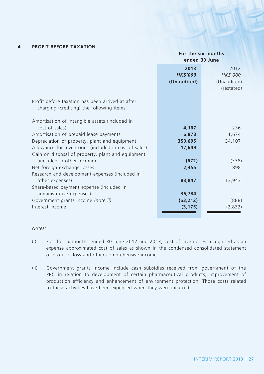### **4. PROFIT BEFORE TAXATION**

#### **For the six months ended 30 June**

|                                                       | 2013            | 2012        |
|-------------------------------------------------------|-----------------|-------------|
|                                                       |                 |             |
|                                                       | <b>HK\$'000</b> | HK\$'000    |
|                                                       | (Unaudited)     | (Unaudited) |
|                                                       |                 | (restated)  |
|                                                       |                 |             |
|                                                       |                 |             |
| Profit before taxation has been arrived at after      |                 |             |
| charging (crediting) the following items:             |                 |             |
|                                                       |                 |             |
| Amortisation of intangible assets (included in        |                 |             |
| cost of sales)                                        | 4,167           | 236         |
| Amortisation of prepaid lease payments                | 6,873           | 1,674       |
| Depreciation of property, plant and equipment         | 353,695         | 34,107      |
|                                                       |                 |             |
| Allowance for inventories (included in cost of sales) | 17,649          |             |
| Gain on disposal of property, plant and equipment     |                 |             |
| (included in other income)                            | (672)           | (338)       |
| Net foreign exchange losses                           | 2,455           | 898         |
| Research and development expenses (included in        |                 |             |
|                                                       |                 |             |
| other expenses)                                       | 83,847          | 13,943      |
| Share-based payment expense (included in              |                 |             |
| administrative expenses)                              | 36,784          |             |
| Government grants income (note ii)                    | (63, 212)       | (888)       |
| Interest income                                       | (3, 175)        | (2,832)     |
|                                                       |                 |             |
|                                                       |                 |             |

#### *Notes:*

- (i) For the six months ended 30 June 2012 and 2013, cost of inventories recognised as an expense approximated cost of sales as shown in the condensed consolidated statement of profit or loss and other comprehensive income.
- (ii) Government grants income include cash subsidies received from government of the PRC in relation to development of certain pharmaceutical products, improvement of production efficiency and enhancement of environment protection. Those costs related to these activities have been expensed when they were incurred.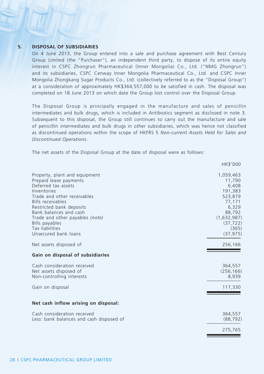#### **5. DISPOSAL OF SUBSIDIARIES**

On 4 June 2013, the Group entered into a sale and purchase agreement with Best Century Group Limited (the "Purchaser"), an independent third party, to dispose of its entire equity interest in CSPC Zhongrun Pharmaceutical (Inner Mongolia) Co., Ltd. ("NMG Zhongrun") and its subsidiaries, CSPC Cenway Inner Mongolia Pharmaceutical Co., Ltd. and CSPC Inner Mongolia Zhongkang Sugar Products Co., Ltd. (collectively referred to as the "Disposal Group") at a consideration of approximately HK\$364,557,000 to be satisfied in cash. The disposal was completed on 18 June 2013 on which date the Group lost control over the Disposal Group.

The Disposal Group is principally engaged in the manufacture and sales of penicillin intermediates and bulk drugs, which is included in Antibiotics segment as disclosed in note 3. Subsequent to this disposal, the Group still continues to carry out the manufacture and sale of penicillin intermediates and bulk drugs in other subsidiaries, which was hence not classified as discontinued operations within the scope of HKFRS 5 *Non-current Assets Held for Sales and Discontinued Operations*.

The net assets of the Disposal Group at the date of disposal were as follows:

|                                                                                                                                                                                                                                                                                                         | HK\$'000                                                                                                                          |
|---------------------------------------------------------------------------------------------------------------------------------------------------------------------------------------------------------------------------------------------------------------------------------------------------------|-----------------------------------------------------------------------------------------------------------------------------------|
| Property, plant and equipment<br>Prepaid lease payments<br>Deferred tax assets<br>Inventories<br>Trade and other receivables<br>Bills receivables<br>Restricted bank deposits<br>Bank balances and cash<br>Trade and other payables (note)<br>Bills payables<br>Tax liabilities<br>Unsecured bank loans | 1,059,463<br>11,790<br>6,408<br>191,383<br>523,879<br>77,171<br>6,329<br>88,792<br>(1,632,987)<br>(37, 722)<br>(365)<br>(37, 975) |
| Net assets disposed of                                                                                                                                                                                                                                                                                  | 256,166                                                                                                                           |
| Gain on disposal of subsidiaries                                                                                                                                                                                                                                                                        |                                                                                                                                   |
| Cash consideration received<br>Net assets disposed of<br>Non-controlling interests                                                                                                                                                                                                                      | 364,557<br>(256, 166)<br>8,939                                                                                                    |
| Gain on disposal                                                                                                                                                                                                                                                                                        | 117,330                                                                                                                           |
| Net cash inflow arising on disposal:                                                                                                                                                                                                                                                                    |                                                                                                                                   |
| Cash consideration received<br>Less: bank balances and cash disposed of                                                                                                                                                                                                                                 | 364,557<br>(88, 792)                                                                                                              |
|                                                                                                                                                                                                                                                                                                         | 275,765                                                                                                                           |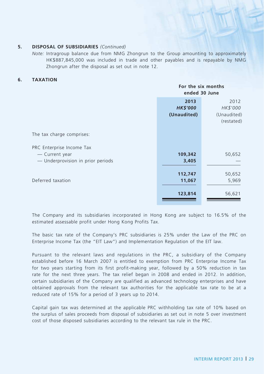#### **5. DISPOSAL OF SUBSIDIARIES** *(Continued)*

*Note:* Intragroup balance due from NMG Zhongrun to the Group amounting to approximately HK\$887,845,000 was included in trade and other payables and is repayable by NMG Zhongrun after the disposal as set out in note 12.

#### **6. TAXATION**

|                                                                                  |                                        | For the six months<br>ended 30 June           |  |  |
|----------------------------------------------------------------------------------|----------------------------------------|-----------------------------------------------|--|--|
|                                                                                  | 2013<br><b>HK\$'000</b><br>(Unaudited) | 2012<br>HK\$'000<br>(Unaudited)<br>(restated) |  |  |
| The tax charge comprises:                                                        |                                        |                                               |  |  |
| PRC Enterprise Income Tax<br>— Current year<br>- Underprovision in prior periods | 109,342<br>3,405                       | 50,652                                        |  |  |
| Deferred taxation                                                                | 112,747<br>11,067                      | 50,652<br>5,969                               |  |  |
|                                                                                  | 123,814                                | 56,621                                        |  |  |

The Company and its subsidiaries incorporated in Hong Kong are subject to 16.5% of the estimated assessable profit under Hong Kong Profits Tax.

The basic tax rate of the Company's PRC subsidiaries is 25% under the Law of the PRC on Enterprise Income Tax (the "EIT Law") and Implementation Regulation of the EIT law.

Pursuant to the relevant laws and regulations in the PRC, a subsidiary of the Company established before 16 March 2007 is entitled to exemption from PRC Enterprise Income Tax for two years starting from its first profit-making year, followed by a 50% reduction in tax rate for the next three years. The tax relief began in 2008 and ended in 2012. In addition, certain subsidiaries of the Company are qualified as advanced technology enterprises and have obtained approvals from the relevant tax authorities for the applicable tax rate to be at a reduced rate of 15% for a period of 3 years up to 2014.

Capital gain tax was determined at the applicable PRC withholding tax rate of 10% based on the surplus of sales proceeds from disposal of subsidiaries as set out in note 5 over investment cost of those disposed subsidiaries according to the relevant tax rule in the PRC.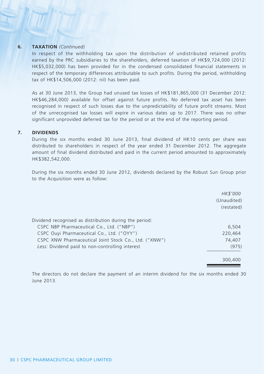#### **6. TAXATION** *(Continued)*

In respect of the withholding tax upon the distribution of undistributed retained profits earned by the PRC subsidiaries to the shareholders, deferred taxation of HK\$9,724,000 (2012: HK\$5,032,000) has been provided for in the condensed consolidated financial statements in respect of the temporary differences attributable to such profits. During the period, withholding tax of HK\$14,506,000 (2012: nil) has been paid.

As at 30 June 2013, the Group had unused tax losses of HK\$181,865,000 (31 December 2012: HK\$46,284,000) available for offset against future profits. No deferred tax asset has been recognised in respect of such losses due to the unpredictability of future profit streams. Most of the unrecognised tax losses will expire in various dates up to 2017. There was no other significant unprovided deferred tax for the period or at the end of the reporting period.

#### **7. DIVIDENDS**

During the six months ended 30 June 2013, final dividend of HK10 cents per share was distributed to shareholders in respect of the year ended 31 December 2012. The aggregate amount of final dividend distributed and paid in the current period amounted to approximately HK\$382,542,000.

During the six months ended 30 June 2012, dividends declared by the Robust Sun Group prior to the Acquisition were as follow:

|                                                        | HK\$'000<br>(Unaudited)<br>(restated) |
|--------------------------------------------------------|---------------------------------------|
| Dividend recognised as distribution during the period: |                                       |
| CSPC NBP Pharmaceutical Co., Ltd. ("NBP")              | 6,504                                 |
| CSPC Ouyi Pharmaceutical Co., Ltd. ("OYY")             | 220,464                               |
| CSPC XNW Pharmaceutical Joint Stock Co., Ltd. ("XNW")  | 74,407                                |
| Less: Dividend paid to non-controlling interest        | (975)                                 |
|                                                        |                                       |
|                                                        | 300,400                               |

The directors do not declare the payment of an interim dividend for the six months ended 30 June 2013.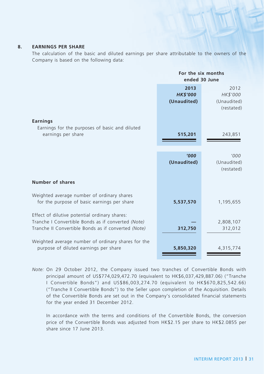#### **8. EARNINGS PER SHARE**

The calculation of the basic and diluted earnings per share attributable to the owners of the Company is based on the following data:

|                                                                                                                                                            | For the six months<br>ended 30 June    |                                               |
|------------------------------------------------------------------------------------------------------------------------------------------------------------|----------------------------------------|-----------------------------------------------|
|                                                                                                                                                            | 2013<br><b>HK\$'000</b><br>(Unaudited) | 2012<br>HK\$'000<br>(Unaudited)<br>(restated) |
| <b>Earnings</b><br>Earnings for the purposes of basic and diluted<br>earnings per share                                                                    | 515,201                                | 243,851                                       |
|                                                                                                                                                            | '000<br>(Unaudited)                    | '000'<br>(Unaudited)<br>(restated)            |
| Number of shares                                                                                                                                           |                                        |                                               |
| Weighted average number of ordinary shares<br>for the purpose of basic earnings per share                                                                  | 5,537,570                              | 1,195,655                                     |
| Effect of dilutive potential ordinary shares:<br>Tranche I Convertible Bonds as if converted (Note)<br>Tranche II Convertible Bonds as if converted (Note) | 312,750                                | 2,808,107<br>312,012                          |
| Weighted average number of ordinary shares for the<br>purpose of diluted earnings per share                                                                | 5,850,320                              | 4,315,774                                     |

*Note:* On 29 October 2012, the Company issued two tranches of Convertible Bonds with principal amount of US\$774,029,472.70 (equivalent to HK\$6,037,429,887.06) ("Tranche I Convertible Bonds") and US\$86,003,274.70 (equivalent to HK\$670,825,542.66) ("Tranche II Convertible Bonds") to the Seller upon completion of the Acquisition. Details of the Convertible Bonds are set out in the Company's consolidated financial statements for the year ended 31 December 2012.

In accordance with the terms and conditions of the Convertible Bonds, the conversion price of the Convertible Bonds was adjusted from HK\$2.15 per share to HK\$2.0855 per share since 17 June 2013.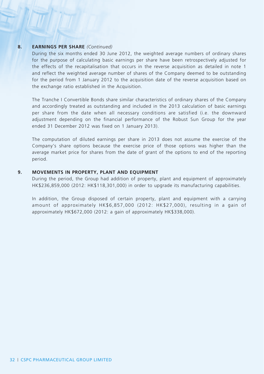#### **8. EARNINGS PER SHARE** *(Continued)*

During the six months ended 30 June 2012, the weighted average numbers of ordinary shares for the purpose of calculating basic earnings per share have been retrospectively adjusted for the effects of the recapitalisation that occurs in the reverse acquisition as detailed in note 1 and reflect the weighted average number of shares of the Company deemed to be outstanding for the period from 1 January 2012 to the acquisition date of the reverse acquisition based on the exchange ratio established in the Acquisition.

The Tranche I Convertible Bonds share similar characteristics of ordinary shares of the Company and accordingly treated as outstanding and included in the 2013 calculation of basic earnings per share from the date when all necessary conditions are satisfied (i.e. the downward adjustment depending on the financial performance of the Robust Sun Group for the year ended 31 December 2012 was fixed on 1 January 2013).

The computation of diluted earnings per share in 2013 does not assume the exercise of the Company's share options because the exercise price of those options was higher than the average market price for shares from the date of grant of the options to end of the reporting period.

#### **9. MOVEMENTS IN PROPERTY, PLANT AND EQUIPMENT**

During the period, the Group had addition of property, plant and equipment of approximately HK\$236,859,000 (2012: HK\$118,301,000) in order to upgrade its manufacturing capabilities.

In addition, the Group disposed of certain property, plant and equipment with a carrying amount of approximately HK\$6,857,000 (2012: HK\$27,000), resulting in a gain of approximately HK\$672,000 (2012: a gain of approximately HK\$338,000).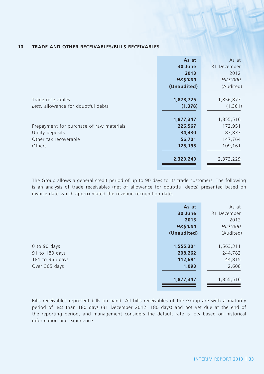#### **10. TRADE AND OTHER RECEIVABLES/BILLS RECEIVABLES**

|                                          | As at           | As at       |
|------------------------------------------|-----------------|-------------|
|                                          | 30 June         | 31 December |
|                                          | 2013            | 2012        |
|                                          | <b>HK\$'000</b> | HK\$'000    |
|                                          | (Unaudited)     | (Audited)   |
|                                          |                 |             |
| Trade receivables                        | 1,878,725       | 1,856,877   |
| Less: allowance for doubtful debts       | (1,378)         | (1, 361)    |
|                                          |                 |             |
|                                          | 1,877,347       | 1,855,516   |
| Prepayment for purchase of raw materials | 226,567         | 172,951     |
| Utility deposits                         | 34,430          | 87,837      |
| Other tax recoverable                    | 56,701          | 147,764     |
| Others                                   | 125,195         | 109,161     |
|                                          |                 |             |
|                                          | 2,320,240       | 2,373,229   |
|                                          |                 |             |

The Group allows a general credit period of up to 90 days to its trade customers. The following is an analysis of trade receivables (net of allowance for doubtful debts) presented based on invoice date which approximated the revenue recognition date.

|                 | As at           | As at       |
|-----------------|-----------------|-------------|
|                 | 30 June         | 31 December |
|                 | 2013            | 2012        |
|                 | <b>HK\$'000</b> | HK\$'000    |
|                 | (Unaudited)     | (Audited)   |
|                 |                 |             |
| 0 to 90 days    | 1,555,301       | 1,563,311   |
| 91 to 180 days  | 208,262         | 244,782     |
| 181 to 365 days | 112,691         | 44,815      |
| Over 365 days   | 1,093           | 2,608       |
|                 |                 |             |
|                 | 1,877,347       | 1,855,516   |
|                 |                 |             |

Bills receivables represent bills on hand. All bills receivables of the Group are with a maturity period of less than 180 days (31 December 2012: 180 days) and not yet due at the end of the reporting period, and management considers the default rate is low based on historical information and experience.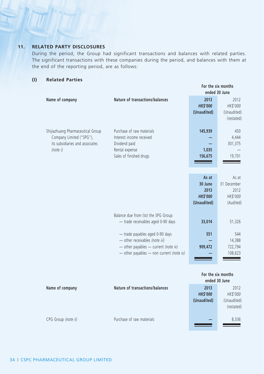### **11. RELATED PARTY disclosures**

During the period, the Group had significant transactions and balances with related parties. The significant transactions with these companies during the period, and balances with them at the end of the reporting period, are as follows:

#### **(I) Related Parties**

|                                                                                                              |                                                                                                                                                           | For the six months<br>ended 30 June                        |                                                       |  |
|--------------------------------------------------------------------------------------------------------------|-----------------------------------------------------------------------------------------------------------------------------------------------------------|------------------------------------------------------------|-------------------------------------------------------|--|
| Name of company                                                                                              | Nature of transactions/balances                                                                                                                           | 2013<br><b>HK\$'000</b><br>(Unaudited)                     | 2012<br>HK\$'000<br>(Unaudited)<br>(restated)         |  |
| Shijiazhuang Pharmaceutical Group<br>Company Limited ("SPG"),<br>its subsidiaries and associates<br>(note i) | Purchase of raw materials<br>Interest income received<br>Dividend paid<br>Rental expense<br>Sales of finished drugs                                       | 145,939<br>1,035<br>156,675                                | 450<br>4,444<br>301,375<br>19,701                     |  |
|                                                                                                              |                                                                                                                                                           | As at<br>30 June<br>2013<br><b>HK\$'000</b><br>(Unaudited) | As at<br>31 December<br>2012<br>HK\$'000<br>(Audited) |  |
|                                                                                                              | Balance due from (to) the SPG Group<br>- trade receivables aged 0-90 days                                                                                 | 33,014                                                     | 51,326                                                |  |
|                                                                                                              | - trade payables aged 0-90 days<br>- other receivables (note iii)<br>$-$ other payables $-$ current (note iv)<br>- other payables - non current (note iv) | 551<br>909,472                                             | 544<br>14,388<br>722,794<br>108,623                   |  |
|                                                                                                              |                                                                                                                                                           |                                                            | For the six months                                    |  |

|                     |                                 | ended 30 June   |             |
|---------------------|---------------------------------|-----------------|-------------|
| Name of company     | Nature of transactions/balances | 2013            | 2012        |
|                     |                                 | <b>HK\$'000</b> | HK\$'000    |
|                     |                                 | (Unaudited)     | (Unaudited) |
|                     |                                 |                 | (restated)  |
|                     |                                 |                 |             |
| CPG Group (note ii) | Purchase of raw materials       |                 | 8,336       |
|                     |                                 |                 |             |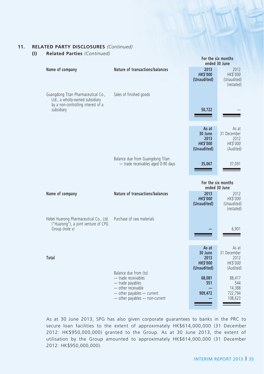#### **11. RELATED PARTY disclosures** *(Continued)*

**(I) Related Parties** *(Continued)*

|                                                                                                                            |                                                                                                                  | For the six months<br>ended 30 June                                  |                                                                 |  |
|----------------------------------------------------------------------------------------------------------------------------|------------------------------------------------------------------------------------------------------------------|----------------------------------------------------------------------|-----------------------------------------------------------------|--|
| Name of company                                                                                                            | Nature of transactions/balances                                                                                  | 2013<br><b>HK\$'000</b><br>(Unaudited)                               | 2012<br>HK\$'000<br>(Unaudited)<br>(restated)                   |  |
| Guangdong Titan Pharmaceutical Co.,<br>Ltd., a wholly-owned subsidiary<br>by a non-controlling interest of a<br>subsidiary | Sales of finished goods                                                                                          | 50,722                                                               |                                                                 |  |
|                                                                                                                            |                                                                                                                  | As at<br>30 June<br>2013<br><b>HKS'000</b><br>(Unaudited)            | As at<br>31 December<br>2012<br>HK\$'000<br>(Audited)           |  |
|                                                                                                                            | Balance due from Guangdong Titan<br>- trade receivables aged 0-90 days                                           | 35,067                                                               | 37,091                                                          |  |
|                                                                                                                            |                                                                                                                  |                                                                      | For the six months<br>ended 30 June                             |  |
| Name of company                                                                                                            | Nature of transactions/balances                                                                                  | 2013<br><b>HKS'000</b><br>(Unaudited)                                | 2012<br>HK\$'000<br>(Unaudited)<br>(restated)                   |  |
| Hebei Huarong Pharmaceutical Co., Ltd.<br>("Huarong"), a joint venture of CPG<br>Group (note v)                            | Purchase of raw materials                                                                                        |                                                                      | 6,901                                                           |  |
| Total                                                                                                                      | Balance due from (to)<br>- trade receivables                                                                     | As at<br>30 June<br>2013<br><b>HK\$'000</b><br>(Unaudited)<br>68,081 | As at<br>31 December<br>2012<br>HK\$'000<br>(Audited)<br>88,417 |  |
|                                                                                                                            | $-$ trade payables<br>- other receivable<br>$-$ other payables $-$ current<br>$-$ other payables $-$ non-current | 551<br>909,472                                                       | 544<br>14,388<br>722,794<br>108,623                             |  |

As at 30 June 2013, SPG has also given corporate guarantees to banks in the PRC to secure loan facilities to the extent of approximately HK\$614,000,000 (31 December 2012: HK\$950,000,000) granted to the Group. As at 30 June 2013, the extent of utilisation by the Group amounted to approximately HK\$614,000,000 (31 December 2012: HK\$950,000,000).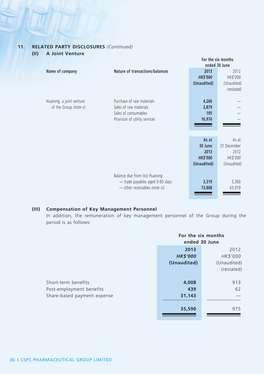### **11. RELATED PARTY disclosures** *(Continued)*

| (II) |  | A Joint Venture |
|------|--|-----------------|
|------|--|-----------------|

|                                                   |                                                                                                              | For the six months                                         |                                                         |
|---------------------------------------------------|--------------------------------------------------------------------------------------------------------------|------------------------------------------------------------|---------------------------------------------------------|
|                                                   |                                                                                                              |                                                            | ended 30 June                                           |
| Name of company                                   | Nature of transactions/balances                                                                              | 2013<br><b>HK\$'000</b><br>(Unaudited)                     | 2012<br>HK\$'000<br>(Unaudited)<br>(restated)           |
| Huarong, a joint venture<br>of the Group (note v) | Purchase of raw materials<br>Sales of raw materials<br>Sales of consumables<br>Provision of utility services | 4,266<br>2,879<br>195<br>16,976                            |                                                         |
|                                                   |                                                                                                              | As at<br>30 June<br>2013<br><b>HK\$'000</b><br>(Unaudited) | As at<br>31 December<br>2012<br>HK\$'000<br>(Unaudited) |
|                                                   | Balance due from (to) Huarong<br>- trade payables aged 0-90 days<br>- other receivables (note iii)           | 3,319<br>73,868                                            | 5,360<br>63,919                                         |

### **(III) Compensation of Key Management Personnel**

In addition, the remuneration of key management personnel of the Group during the period is as follows:

|                             | For the six months<br>ended 30 June |             |
|-----------------------------|-------------------------------------|-------------|
|                             | 2013<br>2012                        |             |
|                             | <b>HK\$'000</b>                     | HK\$'000    |
|                             | (Unaudited)                         | (Unaudited) |
|                             |                                     | (restated)  |
| Short-term benefits         | 4,008                               | 913         |
| Post-employment benefits    | 439                                 | 62          |
| Share-based payment expense | 31,143                              |             |
|                             | 35,590                              | 975         |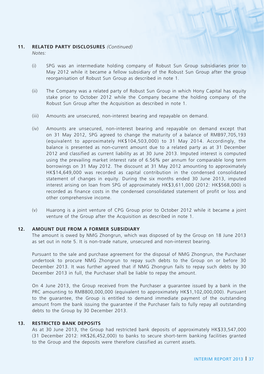#### **11. RELATED PARTY disclosures** *(Continued)*

*Notes:*

- (i) SPG was an intermediate holding company of Robust Sun Group subsidiaries prior to May 2012 while it became a fellow subsidiary of the Robust Sun Group after the group reorganisation of Robust Sun Group as described in note 1.
- (ii) The Company was a related party of Robust Sun Group in which Hony Capital has equity stake prior to October 2012 while the Company became the holding company of the Robust Sun Group after the Acquisition as described in note 1.
- (iii) Amounts are unsecured, non-interest bearing and repayable on demand.
- (iv) Amounts are unsecured, non-interest bearing and repayable on demand except that on 31 May 2012, SPG agreed to change the maturity of a balance of RMB97,705,193 (equivalent to approximately HK\$104,503,000) to 31 May 2014. Accordingly, the balance is presented as non-current amount due to a related party as at 31 December 2012 and classified as current liability as at 30 June 2013. Imputed interest is computed using the prevailing market interest rate of 6.56% per annum for comparable long term borrowings on 31 May 2012. The discount at 31 May 2012 amounting to approximately HK\$14,649,000 was recorded as capital contribution in the condensed consolidated statement of changes in equity. During the six months ended 30 June 2013, imputed interest arising on loan from SPG of approximately HK\$3,611,000 (2012: HK\$568,000) is recorded as finance costs in the condensed consolidated statement of profit or loss and other comprehensive income.
- (v) Huarong is a joint venture of CPG Group prior to October 2012 while it became a joint venture of the Group after the Acquisition as described in note 1.

#### **12. AMOUNT DUE FROM A FORMER SUBSIDIARY**

The amount is owed by NMG Zhongrun, which was disposed of by the Group on 18 June 2013 as set out in note 5. It is non-trade nature, unsecured and non-interest bearing.

Pursuant to the sale and purchase agreement for the disposal of NMG Zhongrun, the Purchaser undertook to procure NMG Zhongrun to repay such debts to the Group on or before 30 December 2013. It was further agreed that if NMG Zhongrun fails to repay such debts by 30 December 2013 in full, the Purchaser shall be liable to repay the amount.

On 4 June 2013, the Group received from the Purchaser a guarantee issued by a bank in the PRC amounting to RMB800,000,000 (equivalent to approximately HK\$1,102,000,000). Pursuant to the guarantee, the Group is entitled to demand immediate payment of the outstanding amount from the bank issuing the guarantee if the Purchaser fails to fully repay all outstanding debts to the Group by 30 December 2013.

#### **13. RESTRICTED BANK DEPOSITS**

As at 30 June 2013, the Group had restricted bank deposits of approximately HK\$33,547,000 (31 December 2012: HK\$26,452,000) to banks to secure short-term banking facilities granted to the Group and the deposits were therefore classified as current assets.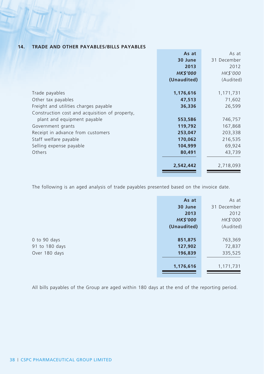|                                                | As at           | As at       |
|------------------------------------------------|-----------------|-------------|
|                                                | 30 June         | 31 December |
|                                                | 2013            | 2012        |
|                                                | <b>HK\$'000</b> | HK\$'000    |
|                                                | (Unaudited)     | (Audited)   |
|                                                |                 |             |
| Trade payables                                 | 1,176,616       | 1,171,731   |
| Other tax payables                             | 47,513          | 71,602      |
| Freight and utilities charges payable          | 36,336          | 26,599      |
| Construction cost and acquisition of property, |                 |             |
| plant and equipment payable                    | 553,586         | 746,757     |
| Government grants                              | 119,792         | 167,868     |
| Receipt in advance from customers              | 253,047         | 203,338     |
| Staff welfare payable                          | 170,062         | 216,535     |
| Selling expense payable                        | 104,999         | 69,924      |
| Others                                         | 80,491          | 43,739      |
|                                                |                 |             |
|                                                | 2,542,442       | 2,718,093   |
|                                                |                 |             |

**14. TRADE AND OTHER PAYABLES/BILLS PAYABLES**

The following is an aged analysis of trade payables presented based on the invoice date.

|                | As at           | As at       |
|----------------|-----------------|-------------|
|                | 30 June         | 31 December |
|                | 2013            | 2012        |
|                | <b>HK\$'000</b> | HK\$'000    |
|                | (Unaudited)     | (Audited)   |
|                |                 |             |
| 0 to 90 days   | 851,875         | 763,369     |
| 91 to 180 days | 127,902         | 72,837      |
| Over 180 days  | 196,839         | 335,525     |
|                |                 |             |
|                | 1,176,616       | 1,171,731   |
|                |                 |             |

All bills payables of the Group are aged within 180 days at the end of the reporting period.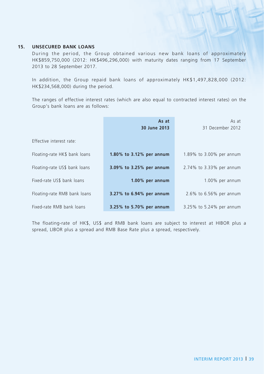#### **15. UNSECURED BANK LOANS**

During the period, the Group obtained various new bank loans of approximately HK\$859,750,000 (2012: HK\$496,296,000) with maturity dates ranging from 17 September 2013 to 28 September 2017.

In addition, the Group repaid bank loans of approximately HK\$1,497,828,000 (2012: HK\$234,568,000) during the period.

The ranges of effective interest rates (which are also equal to contracted interest rates) on the Group's bank loans are as follows:

|                               | As at<br>30 June 2013    | As at<br>31 December 2012 |
|-------------------------------|--------------------------|---------------------------|
| Effective interest rate:      |                          |                           |
| Floating-rate HK\$ bank loans | 1.80% to 3.12% per annum | 1.89% to 3.00% per annum  |
| Floating-rate US\$ bank loans | 3.09% to 3.25% per annum | 2.74% to 3.33% per annum  |
| Fixed-rate US\$ bank loans    | $1.00\%$ per annum       | $1.00\%$ per annum        |
| Floating-rate RMB bank loans  | 3.27% to 6.94% per annum | 2.6% to 6.56% per annum   |
| Fixed-rate RMB bank loans     | 3.25% to 5.70% per annum | 3.25% to 5.24% per annum  |

The floating-rate of HK\$, US\$ and RMB bank loans are subject to interest at HIBOR plus a spread, LIBOR plus a spread and RMB Base Rate plus a spread, respectively.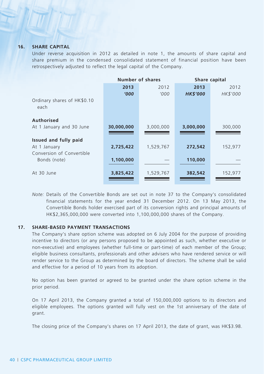#### **16. SHARE CAPITAL**

Under reverse acquisition in 2012 as detailed in note 1, the amounts of share capital and share premium in the condensed consolidated statement of financial position have been retrospectively adjusted to reflect the legal capital of the Company.

|                                     | Number of shares |           | Share capital   |          |  |
|-------------------------------------|------------------|-----------|-----------------|----------|--|
|                                     | 2013             | 2012      | 2013            | 2012     |  |
|                                     | '000             | '000      | <b>HK\$'000</b> | HK\$'000 |  |
| Ordinary shares of HK\$0.10<br>each |                  |           |                 |          |  |
| Authorised                          |                  |           |                 |          |  |
| At 1 January and 30 June            | 30,000,000       | 3,000,000 | 3,000,000       | 300,000  |  |
| Issued and fully paid               |                  |           |                 |          |  |
| At 1 January                        | 2,725,422        | 1,529,767 | 272,542         | 152,977  |  |
| Conversion of Convertible           |                  |           |                 |          |  |
| Bonds (note)                        | 1,100,000        |           | 110,000         |          |  |
| At 30 June                          | 3,825,422        | 1,529,767 | 382,542         | 152,977  |  |
|                                     |                  |           |                 |          |  |

*Note:* Details of the Convertible Bonds are set out in note 37 to the Company's consolidated financial statements for the year ended 31 December 2012. On 13 May 2013, the Convertible Bonds holder exercised part of its conversion rights and principal amounts of HK\$2,365,000,000 were converted into 1,100,000,000 shares of the Company.

#### **17. SHARE-BASED PAYMENT TRANSACTIONS**

The Company's share option scheme was adopted on 6 July 2004 for the purpose of providing incentive to directors (or any persons proposed to be appointed as such, whether executive or non-executive) and employees (whether full-time or part-time) of each member of the Group; eligible business consultants, professionals and other advisers who have rendered service or will render service to the Group as determined by the board of directors. The scheme shall be valid and effective for a period of 10 years from its adoption.

No option has been granted or agreed to be granted under the share option scheme in the prior period.

On 17 April 2013, the Company granted a total of 150,000,000 options to its directors and eligible employees. The options granted will fully vest on the 1st anniversary of the date of grant.

The closing price of the Company's shares on 17 April 2013, the date of grant, was HK\$3.98.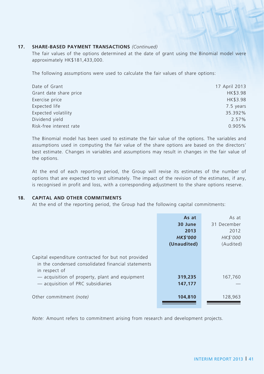#### **17. SHARE-BASED PAYMENT TRANSACTIONS** *(Continued)*

The fair values of the options determined at the date of grant using the Binomial model were approximately HK\$181,433,000.

The following assumptions were used to calculate the fair values of share options:

| Date of Grant           | 17 April 2013 |
|-------------------------|---------------|
| Grant date share price  | HK\$3.98      |
| Exercise price          | HK\$3.98      |
| Expected life           | 7.5 years     |
| Expected volatility     | 35.392%       |
| Dividend yield          | 2.57%         |
| Risk-free interest rate | 0.905%        |

The Binomial model has been used to estimate the fair value of the options. The variables and assumptions used in computing the fair value of the share options are based on the directors' best estimate. Changes in variables and assumptions may result in changes in the fair value of the options.

At the end of each reporting period, the Group will revise its estimates of the number of options that are expected to vest ultimately. The impact of the revision of the estimates, if any, is recognised in profit and loss, with a corresponding adjustment to the share options reserve.

#### **18. CAPITAL AND OTHER COMMITMENTS**

At the end of the reporting period, the Group had the following capital commitments:

|                                                                                                                            | As at<br>30 June<br>2013<br><b>HK\$'000</b><br>(Unaudited) | As at<br>31 December<br>2012<br>HK\$'000<br>(Audited) |
|----------------------------------------------------------------------------------------------------------------------------|------------------------------------------------------------|-------------------------------------------------------|
| Capital expenditure contracted for but not provided<br>in the condensed consolidated financial statements<br>in respect of |                                                            |                                                       |
| - acquisition of property, plant and equipment<br>- acquisition of PRC subsidiaries                                        | 319,235<br>147,177                                         | 167,760                                               |
| Other commitment (note)                                                                                                    | 104,810                                                    | 128,963                                               |

*Note:* Amount refers to commitment arising from research and development projects.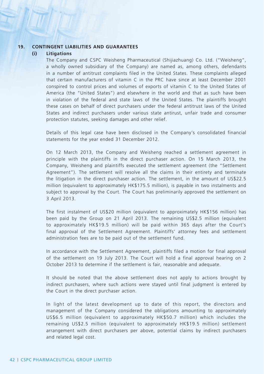#### **19. CONTINGENT LIABILITIES AND GUARANTEES**

#### **(i) Litigations**

The Company and CSPC Weisheng Pharmaceutical (Shijiazhuang) Co. Ltd. ("Weisheng", a wholly owned subsidiary of the Company) are named as, among others, defendants in a number of antitrust complaints filed in the United States. These complaints alleged that certain manufacturers of vitamin C in the PRC have since at least December 2001 conspired to control prices and volumes of exports of vitamin C to the United States of America (the "United States") and elsewhere in the world and that as such have been in violation of the federal and state laws of the United States. The plaintiffs brought these cases on behalf of direct purchasers under the federal antitrust laws of the United States and indirect purchasers under various state antirust, unfair trade and consumer protection statutes, seeking damages and other relief.

Details of this legal case have been disclosed in the Company's consolidated financial statements for the year ended 31 December 2012.

On 12 March 2013, the Company and Weisheng reached a settlement agreement in principle with the plaintiffs in the direct purchaser action. On 15 March 2013, the Company, Weisheng and plaintiffs executed the settlement agreement (the "Settlement Agreement"). The settlement will resolve all the claims in their entirety and terminate the litigation in the direct purchaser action. The settlement, in the amount of US\$22.5 million (equivalent to approximately HK\$175.5 million), is payable in two instalments and subject to approval by the Court. The Court has preliminarily approved the settlement on 3 April 2013.

The first instalment of US\$20 million (equivalent to approximately HK\$156 million) has been paid by the Group on 21 April 2013. The remaining US\$2.5 million (equivalent to approximately HK\$19.5 million) will be paid within 365 days after the Court's final approval of the Settlement Agreement. Plaintiffs' attorney fees and settlement administration fees are to be paid out of the settlement fund.

In accordance with the Settlement Agreement, plaintiffs filed a motion for final approval of the settlement on 19 July 2013. The Court will hold a final approval hearing on 2 October 2013 to determine if the settlement is fair, reasonable and adequate.

It should be noted that the above settlement does not apply to actions brought by indirect purchasers, where such actions were stayed until final judgment is entered by the Court in the direct purchaser action.

In light of the latest development up to date of this report, the directors and management of the Company considered the obligations amounting to approximately US\$6.5 million (equivalent to approximately HK\$50.7 million) which includes the remaining US\$2.5 million (equivalent to approximately HK\$19.5 million) settlement arrangement with direct purchasers per above, potential claims by indirect purchasers and related legal cost.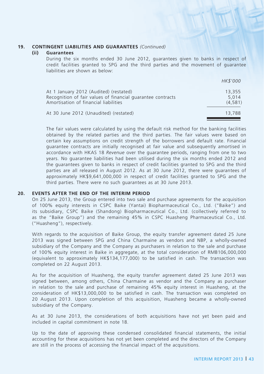### **19. CONTINGENT LIABILITIES AND GUARANTEES** *(Continued)*

#### **(ii) Guarantees**

During the six months ended 30 June 2012, guarantees given to banks in respect of credit facilities granted to SPG and the third parties and the movement of guarantee liabilities are shown as below:

|                                                                                                                                                | HK\$'000                   |
|------------------------------------------------------------------------------------------------------------------------------------------------|----------------------------|
| At 1 January 2012 (Audited) (restated)<br>Recognition of fair values of financial guarantee contracts<br>Amortisation of financial liabilities | 13,355<br>5.014<br>(4.581) |
| At 30 June 2012 (Unaudited) (restated)                                                                                                         | 13,788                     |

The fair values were calculated by using the default risk method for the banking facilities obtained by the related parties and the third parties. The fair values were based on certain key assumptions on credit strength of the borrowers and default rate. Financial guarantee contracts are initially recognised at fair value and subsequently amortised in accordance with HKAS 18 *Revenue* over the guarantee periods, ranging from one to two years. No guarantee liabilities had been utilised during the six months ended 2012 and the guarantees given to banks in respect of credit facilities granted to SPG and the third parties are all released in August 2012. As at 30 June 2012, there were guarantees of approximately HK\$9,641,000,000 in respect of credit facilities granted to SPG and the third parties. There were no such guarantees as at 30 June 2013.

#### **20. EVENTS AFTER THE END OF THE INTERIM PERIOD**

On 25 June 2013, the Group entered into two sale and purchase agreements for the acquisition of 100% equity interests in CSPC Baike (Yantai) Biopharmaceutical Co., Ltd. ("Baike") and its subsidiary, CSPC Baike (Shandong) Biopharmaceutical Co., Ltd. (collectively referred to as the "Baike Group") and the remaining 45% in CSPC Huasheng Pharmaceutical Co., Ltd. ("Huasheng"), respectively.

With regards to the acquisition of Baike Group, the equity transfer agreement dated 25 June 2013 was signed between SPG and China Charmaine as vendors and NBP, a wholly-owned subsidiary of the Company and the Company as purchasers in relation to the sale and purchase of 100% equity interest in Baike in aggregate, at the total consideration of RMB106,000,000 (equivalent to approximately HK\$134,177,000) to be satisfied in cash. The transaction was completed on 22 August 2013.

As for the acquisition of Huasheng, the equity transfer agreement dated 25 June 2013 was signed between, among others, China Charmaine as vendor and the Company as purchaser in relation to the sale and purchase of remaining 45% equity interest in Huasheng, at the consideration of HK\$13,000,000 to be satisfied in cash. The transaction was completed on 20 August 2013. Upon completion of this acquisition, Huasheng became a wholly-owned subsidiary of the Company.

As at 30 June 2013, the considerations of both acquisitions have not yet been paid and included in capital commitment in note 18.

Up to the date of approving these condensed consolidated financial statements, the initial accounting for these acquisitions has not yet been completed and the directors of the Company are still in the process of accessing the financial impact of the acquisitions.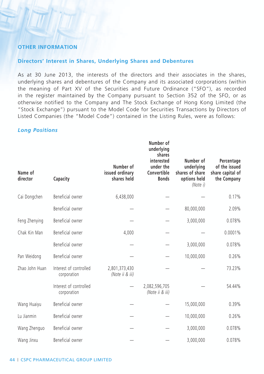### **Other Information**

### **Directors' Interest in Shares, Underlying Shares and Debentures**

As at 30 June 2013, the interests of the directors and their associates in the shares, underlying shares and debentures of the Company and its associated corporations (within the meaning of Part XV of the Securities and Future Ordinance ("SFO"), as recorded in the register maintained by the Company pursuant to Section 352 of the SFO, or as otherwise notified to the Company and The Stock Exchange of Hong Kong Limited (the "Stock Exchange") pursuant to the Model Code for Securities Transactions by Directors of Listed Companies (the "Model Code") contained in the Listing Rules, were as follows:

#### *Long Positions*

| Name of<br>director | Capacity                              | Number of<br>issued ordinary<br>shares held | Number of<br>underlying<br>shares<br>interested<br>under the<br>Convertible<br><b>Bonds</b> | Number of<br>underlying<br>shares of share<br>options held<br>(Note i) | Percentage<br>of the issued<br>share capital of<br>the Company |
|---------------------|---------------------------------------|---------------------------------------------|---------------------------------------------------------------------------------------------|------------------------------------------------------------------------|----------------------------------------------------------------|
| Cai Dongchen        | Beneficial owner                      | 6,438,000                                   |                                                                                             |                                                                        | 0.17%                                                          |
|                     | Beneficial owner                      |                                             |                                                                                             | 80,000,000                                                             | 2.09%                                                          |
| Feng Zhenying       | Beneficial owner                      |                                             |                                                                                             | 3,000,000                                                              | 0.078%                                                         |
| Chak Kin Man        | Beneficial owner                      | 4,000                                       |                                                                                             |                                                                        | 0.0001%                                                        |
|                     | Beneficial owner                      |                                             |                                                                                             | 3,000,000                                                              | 0.078%                                                         |
| Pan Weidong         | Beneficial owner                      |                                             |                                                                                             | 10,000,000                                                             | 0.26%                                                          |
| Zhao John Huan      | Interest of controlled<br>corporation | 2,801,373,430<br>(Note ii & iii)            |                                                                                             |                                                                        | 73.23%                                                         |
|                     | Interest of controlled<br>corporation |                                             | 2,082,596,705<br>(Note ii & iii)                                                            |                                                                        | 54.44%                                                         |
| Wang Huaiyu         | Beneficial owner                      |                                             |                                                                                             | 15,000,000                                                             | 0.39%                                                          |
| Lu Jianmin          | Beneficial owner                      |                                             |                                                                                             | 10,000,000                                                             | 0.26%                                                          |
| Wang Zhenguo        | Beneficial owner                      |                                             |                                                                                             | 3,000,000                                                              | 0.078%                                                         |
| Wang Jinxu          | Beneficial owner                      |                                             |                                                                                             | 3,000,000                                                              | 0.078%                                                         |

#### **44 | CSPC PHARMACEUTICAL GROUP LIMITED**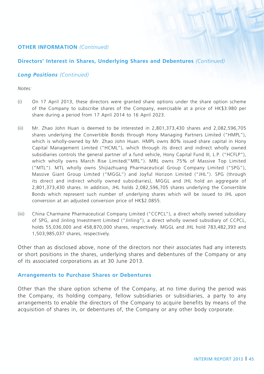**Directors' Interest in Shares, Underlying Shares and Debentures** *(Continued)*

### *Long Positions (Continued)*

*Notes:*

- (i) On 17 April 2013, these directors were granted share options under the share option scheme of the Company to subscribe shares of the Company, exercisable at a price of HK\$3.980 per share during a period from 17 April 2014 to 16 April 2023.
- (ii) Mr. Zhao John Huan is deemed to be interested in 2,801,373,430 shares and 2,082,596,705 shares underlying the Convertible Bonds through Hony Managing Partners Limited ("HMPL"), which is wholly-owned by Mr. Zhao John Huan. HMPL owns 80% issued share capital in Hony Capital Management Limited ("HCML"), which through its direct and indirect wholly owned subsidiaries controls the general partner of a fund vehicle, Hony Capital Fund III, L.P. ("HCFLP"), which wholly owns March Rise Limited("MRL"). MRL owns 75% of Massive Top Limited ("MTL"). MTL wholly owns Shijiazhuang Pharmaceutical Group Company Limited ("SPG"), Massive Giant Group Limited ("MGGL") and Joyful Horizon Limited ("JHL"). SPG (through its direct and indirect wholly owned subsidiaries), MGGL and JHL hold an aggregate of 2,801,373,430 shares. In addition, JHL holds 2,082,596,705 shares underlying the Convertible Bonds which represent such number of underlying shares which will be issued to JHL upon conversion at an adjusted conversion price of HK\$2.0855.
- (iii) China Charmaine Pharmaceutical Company Limited ("CCPCL"), a direct wholly owned subsidiary of SPG, and Jinling Investment Limited ("Jinling"), a direct wholly owned subsidiary of CCPCL, holds 55,036,000 and 458,870,000 shares, respectively. MGGL and JHL hold 783,482,393 and 1,503,985,037 shares, respectively.

Other than as disclosed above, none of the directors nor their associates had any interests or short positions in the shares, underlying shares and debentures of the Company or any of its associated corporations as at 30 June 2013.

### **Arrangements to Purchase Shares or Debentures**

Other than the share option scheme of the Company, at no time during the period was the Company, its holding company, fellow subsidiaries or subsidiaries, a party to any arrangements to enable the directors of the Company to acquire benefits by means of the acquisition of shares in, or debentures of, the Company or any other body corporate.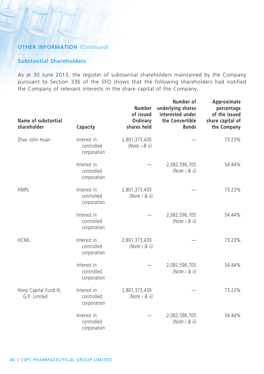### **Substantial Shareholders**

As at 30 June 2013, the register of substantial shareholders maintained by the Company pursuant to Section 336 of the SFO shows that the following shareholders had notified the Company of relevant interests in the share capital of the Company.

| Name of substantial<br>shareholder     | Capacity                                 | <b>Number</b><br>of issued<br>Ordinary<br>shares held | Number of<br>underlying shares<br>interested under<br>the Convertible<br><b>Bonds</b> | Approximate<br>percentage<br>of the issued<br>share capital of<br>the Company |
|----------------------------------------|------------------------------------------|-------------------------------------------------------|---------------------------------------------------------------------------------------|-------------------------------------------------------------------------------|
| Zhao John Huan                         | Interest in<br>controlled<br>corporation | 2,801,373,430<br>(Note i & ii)                        |                                                                                       | 73.23%                                                                        |
|                                        | Interest in<br>controlled<br>corporation |                                                       | 2,082,596,705<br>(Note i & ii)                                                        | 54.44%                                                                        |
| <b>HMPL</b>                            | Interest in<br>controlled<br>corporation | 2,801,373,430<br>(Note i & ii)                        |                                                                                       | 73.23%                                                                        |
|                                        | Interest in<br>controlled<br>corporation |                                                       | 2,082,596,705<br>(Note i & ii)                                                        | 54.44%                                                                        |
| <b>HCML</b>                            | Interest in<br>controlled<br>corporation | 2,801,373,430<br>(Note i & ii)                        |                                                                                       | 73.23%                                                                        |
|                                        | Interest in<br>controlled<br>corporation |                                                       | 2,082,596,705<br>(Note i & ii)                                                        | 54.44%                                                                        |
| Hony Capital Fund III,<br>G.P. Limited | Interest in<br>controlled<br>corporation | 2,801,373,430<br>(Note i & ii)                        |                                                                                       | 73.23%                                                                        |
|                                        | Interest in<br>controlled<br>corporation |                                                       | 2,082,596,705<br>(Note i & ii)                                                        | 54.44%                                                                        |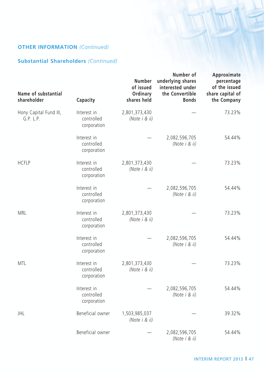### **Substantial Shareholders** *(Continued)*

| Name of substantial<br>shareholder  | Capacity                                 | Number<br>of issued<br>Ordinary<br>shares held | Number of<br>underlying shares<br>interested under<br>the Convertible<br><b>Bonds</b> | Approximate<br>percentage<br>of the issued<br>share capital of<br>the Company |
|-------------------------------------|------------------------------------------|------------------------------------------------|---------------------------------------------------------------------------------------|-------------------------------------------------------------------------------|
| Hony Capital Fund III,<br>G.P. L.P. | Interest in<br>controlled<br>corporation | 2,801,373,430<br>(Note i & ii)                 |                                                                                       | 73.23%                                                                        |
|                                     | Interest in<br>controlled<br>corporation |                                                | 2,082,596,705<br>(Note i & ii)                                                        | 54.44%                                                                        |
| <b>HCFLP</b>                        | Interest in<br>controlled<br>corporation | 2,801,373,430<br>(Note i & ii)                 |                                                                                       | 73.23%                                                                        |
|                                     | Interest in<br>controlled<br>corporation |                                                | 2,082,596,705<br>(Note i & ii)                                                        | 54.44%                                                                        |
| MRL                                 | Interest in<br>controlled<br>corporation | 2,801,373,430<br>(Note i & ii)                 |                                                                                       | 73.23%                                                                        |
|                                     | Interest in<br>controlled<br>corporation |                                                | 2,082,596,705<br>(Note i & ii)                                                        | 54.44%                                                                        |
| <b>MTL</b>                          | Interest in<br>controlled<br>corporation | 2,801,373,430<br>(Note i & ii)                 |                                                                                       | 73.23%                                                                        |
|                                     | Interest in<br>controlled<br>corporation |                                                | 2,082,596,705<br>(Note i & ii)                                                        | 54.44%                                                                        |
| <b>JHL</b>                          | Beneficial owner                         | 1,503,985,037<br>(Note i & ii)                 |                                                                                       | 39.32%                                                                        |
|                                     | Beneficial owner                         |                                                | 2,082,596,705<br>(Note i & ii)                                                        | 54.44%                                                                        |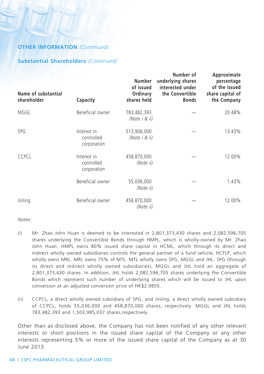### **Substantial Shareholders** *(Continued)*

| Name of substantial<br>shareholder | Capacity                                 | Number<br>of issued<br>Ordinary<br>shares held | Number of<br>underlying shares<br>interested under<br>the Convertible<br><b>Bonds</b> | Approximate<br>percentage<br>of the issued<br>share capital of<br>the Company |
|------------------------------------|------------------------------------------|------------------------------------------------|---------------------------------------------------------------------------------------|-------------------------------------------------------------------------------|
| MGGL                               | Beneficial owner                         | 783,482,393<br>(Note i & ii)                   |                                                                                       | 20.48%                                                                        |
| SPG                                | Interest in<br>controlled<br>corporation | 513,906,000<br>(Note i & ii)                   |                                                                                       | 13.43%                                                                        |
| <b>CCPCL</b>                       | Interest in<br>controlled<br>corporation | 458,870,000<br>(Note ii)                       |                                                                                       | 12.00%                                                                        |
|                                    | Beneficial owner                         | 55,036,000<br>(Note ii)                        |                                                                                       | 1.43%                                                                         |
| Jinling                            | Beneficial owner                         | 458,870,000<br>(Note ii)                       |                                                                                       | 12.00%                                                                        |

*Notes:*

- (i) Mr. Zhao John Huan is deemed to be interested in 2,801,373,430 shares and 2,082,596,705 shares underlying the Convertible Bonds through HMPL, which is wholly-owned by Mr. Zhao John Huan. HMPL owns 80% issued share capital in HCML, which through its direct and indirect wholly owned subsidiaries controls the general partner of a fund vehicle, HCFLP, which wholly owns MRL. MRL owns 75% of MTL. MTL wholly owns SPG, MGGL and JHL. SPG (through its direct and indirect wholly owned subsidiaries), MGGL and JHL hold an aggregate of 2,801,373,430 shares. In addition, JHL holds 2,082,596,705 shares underlying the Convertible Bonds which represent such number of underlying shares which will be issued to JHL upon conversion at an adjusted conversion price of HK\$2.0855.
- (ii) CCPCL, a direct wholly owned subsidiary of SPG, and Jinling, a direct wholly owned subsidiary of CCPCL, holds 55,036,000 and 458,870,000 shares, respectively. MGGL and JHL holds 783,482,393 and 1,503,985,037 shares,respectively.

Other than as disclosed above, the Company has not been notified of any other relevant interests or short positions in the issued share capital of the Company or any other interests representing 5% or more of the issued share capital of the Company as at 30 June 2013.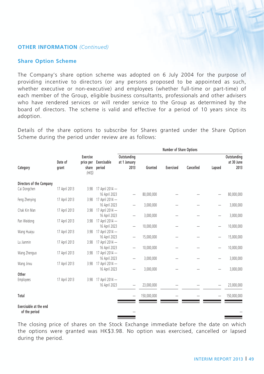### **Share Option Scheme**

The Company's share option scheme was adopted on 6 July 2004 for the purpose of providing incentive to directors (or any persons proposed to be appointed as such, whether executive or non-executive) and employees (whether full-time or part-time) of each member of the Group, eligible business consultants, professionals and other advisers who have rendered services or will render service to the Group as determined by the board of directors. The scheme is valid and effective for a period of 10 years since its adoption.

Details of the share options to subscribe for Shares granted under the Share Option Scheme during the period under review are as follows:

|                                         |                  |                                                |                                  | Number of Share Options             |             |           |           |        |                                   |
|-----------------------------------------|------------------|------------------------------------------------|----------------------------------|-------------------------------------|-------------|-----------|-----------|--------|-----------------------------------|
| Category                                | Date of<br>grant | <b>Exercise</b><br>price per<br>share<br>(HKS) | Exercisable<br>period            | Outstanding<br>at 1 January<br>2013 | Granted     | Exercised | Cancelled | Lapsed | Outstanding<br>at 30 June<br>2013 |
| Directors of the Company                |                  |                                                |                                  |                                     |             |           |           |        |                                   |
| Cai Dongchen                            | 17 April 2013    | 3.98                                           | 17 April 2014 -<br>16 April 2023 | -                                   | 80,000,000  |           |           |        | 80,000,000                        |
| Feng Zhenying                           | 17 April 2013    | 3.98                                           | 17 April 2014 -<br>16 April 2023 | -                                   | 3,000,000   |           |           | -      | 3,000,000                         |
| Chak Kin Man                            | 17 April 2013    | 3.98                                           | 17 April 2014 -                  |                                     |             |           |           |        |                                   |
|                                         |                  |                                                | 16 April 2023                    | -                                   | 3,000,000   |           |           |        | 3,000,000                         |
| Pan Weidong                             | 17 April 2013    | 3.98                                           | 17 April 2014 -<br>16 April 2023 | -                                   | 10,000,000  |           |           |        | 10,000,000                        |
| Wang Huaiyu                             | 17 April 2013    | 3.98                                           | 17 April 2014 -                  |                                     |             |           |           |        |                                   |
| Lu Jianmin                              | 17 April 2013    | 3.98                                           | 16 April 2023<br>17 April 2014 - | -                                   | 15,000,000  |           |           |        | 15,000,000                        |
|                                         |                  |                                                | 16 April 2023                    | -                                   | 10,000,000  |           |           |        | 10,000,000                        |
| Wang Zhenguo                            | 17 April 2013    | 3.98                                           | 17 April 2014 -<br>16 April 2023 |                                     | 3,000,000   |           |           |        | 3,000,000                         |
| Wang Jinxu                              | 17 April 2013    | 3.98                                           | 17 April 2014 -                  | -                                   |             |           |           |        |                                   |
|                                         |                  |                                                | 16 April 2023                    |                                     | 3,000,000   |           |           |        | 3,000,000                         |
| Other<br>Employees                      | 17 April 2013    | 3.98                                           | 17 April 2014 -                  |                                     |             |           |           |        |                                   |
|                                         |                  |                                                | 16 April 2023                    | -                                   | 23,000,000  |           |           |        | 23,000,000                        |
| Total                                   |                  |                                                |                                  | -                                   | 150,000,000 |           |           |        | 150,000,000                       |
| Exercisable at the end<br>of the period |                  |                                                |                                  |                                     |             |           |           |        |                                   |

The closing price of shares on the Stock Exchange immediate before the date on which the options were granted was HK\$3.98. No option was exercised, cancelled or lapsed during the period.